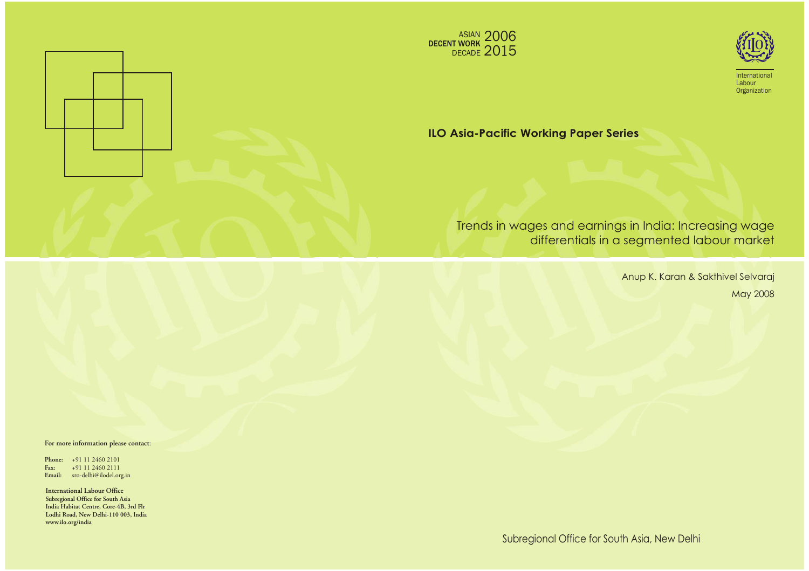



International Labour **Organization** 

# **ILO Asia-Pacific Working Paper Series**

# Trends in wages and earnings in India: Increasing wage differentials in a segmented labour market

Anup K. Karan & Sakthivel Selvaraj May 2008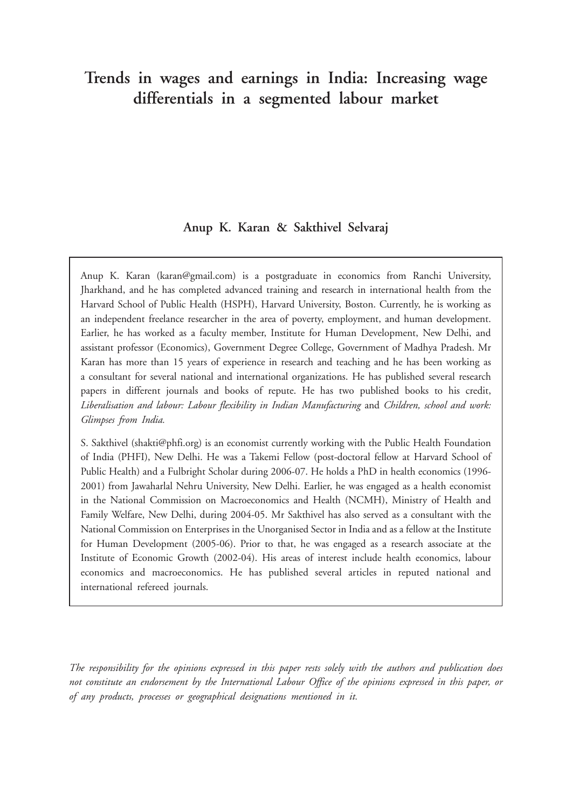# **Trends in wages and earnings in India: Increasing wage differentials in a segmented labour market**

# **Anup K. Karan & Sakthivel Selvaraj**

Anup K. Karan (karan@gmail.com) is a postgraduate in economics from Ranchi University, Jharkhand, and he has completed advanced training and research in international health from the Harvard School of Public Health (HSPH), Harvard University, Boston. Currently, he is working as an independent freelance researcher in the area of poverty, employment, and human development. Earlier, he has worked as a faculty member, Institute for Human Development, New Delhi, and assistant professor (Economics), Government Degree College, Government of Madhya Pradesh. Mr Karan has more than 15 years of experience in research and teaching and he has been working as a consultant for several national and international organizations. He has published several research papers in different journals and books of repute. He has two published books to his credit, *Liberalisation and labour: Labour flexibility in Indian Manufacturing* and *Children, school and work: Glimpses from India.*

S. Sakthivel (shakti@phfi.org) is an economist currently working with the Public Health Foundation of India (PHFI), New Delhi. He was a Takemi Fellow (post-doctoral fellow at Harvard School of Public Health) and a Fulbright Scholar during 2006-07. He holds a PhD in health economics (1996- 2001) from Jawaharlal Nehru University, New Delhi. Earlier, he was engaged as a health economist in the National Commission on Macroeconomics and Health (NCMH), Ministry of Health and Family Welfare, New Delhi, during 2004-05. Mr Sakthivel has also served as a consultant with the National Commission on Enterprises in the Unorganised Sector in India and as a fellow at the Institute for Human Development (2005-06). Prior to that, he was engaged as a research associate at the Institute of Economic Growth (2002-04). His areas of interest include health economics, labour economics and macroeconomics. He has published several articles in reputed national and international refereed journals.

*The responsibility for the opinions expressed in this paper rests solely with the authors and publication does not constitute an endorsement by the International Labour Office of the opinions expressed in this paper, or of any products, processes or geographical designations mentioned in it.*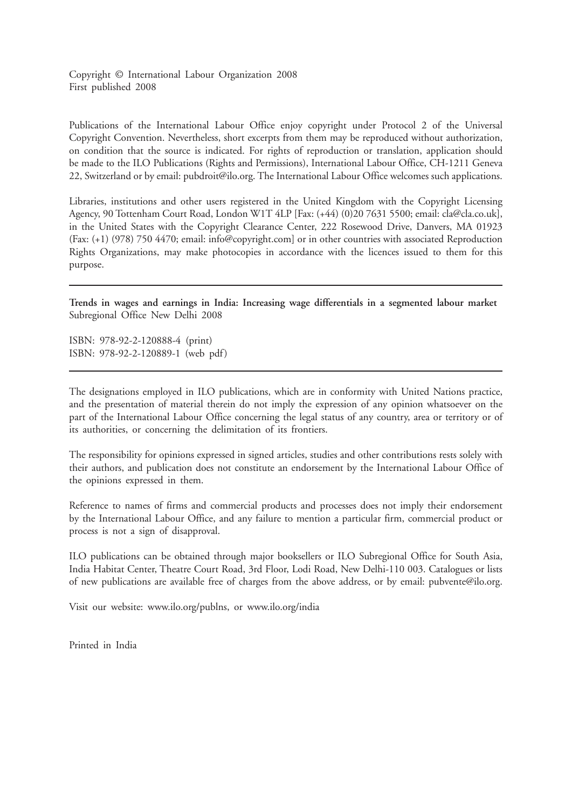Copyright © International Labour Organization 2008 First published 2008

Publications of the International Labour Office enjoy copyright under Protocol 2 of the Universal Copyright Convention. Nevertheless, short excerpts from them may be reproduced without authorization, on condition that the source is indicated. For rights of reproduction or translation, application should be made to the ILO Publications (Rights and Permissions), International Labour Office, CH-1211 Geneva 22, Switzerland or by email: pubdroit@ilo.org. The International Labour Office welcomes such applications.

Libraries, institutions and other users registered in the United Kingdom with the Copyright Licensing Agency, 90 Tottenham Court Road, London W1T 4LP [Fax: (+44) (0)20 7631 5500; email: cla@cla.co.uk], in the United States with the Copyright Clearance Center, 222 Rosewood Drive, Danvers, MA 01923 (Fax: (+1) (978) 750 4470; email: info@copyright.com] or in other countries with associated Reproduction Rights Organizations, may make photocopies in accordance with the licences issued to them for this purpose.

**Trends in wages and earnings in India: Increasing wage differentials in a segmented labour market** Subregional Office New Delhi 2008

ISBN: 978-92-2-120888-4 (print) ISBN: 978-92-2-120889-1 (web pdf)

The designations employed in ILO publications, which are in conformity with United Nations practice, and the presentation of material therein do not imply the expression of any opinion whatsoever on the part of the International Labour Office concerning the legal status of any country, area or territory or of its authorities, or concerning the delimitation of its frontiers.

The responsibility for opinions expressed in signed articles, studies and other contributions rests solely with their authors, and publication does not constitute an endorsement by the International Labour Office of the opinions expressed in them.

Reference to names of firms and commercial products and processes does not imply their endorsement by the International Labour Office, and any failure to mention a particular firm, commercial product or process is not a sign of disapproval.

ILO publications can be obtained through major booksellers or ILO Subregional Office for South Asia, India Habitat Center, Theatre Court Road, 3rd Floor, Lodi Road, New Delhi-110 003. Catalogues or lists of new publications are available free of charges from the above address, or by email: pubvente@ilo.org.

Visit our website: www.ilo.org/publns, or www.ilo.org/india

Printed in India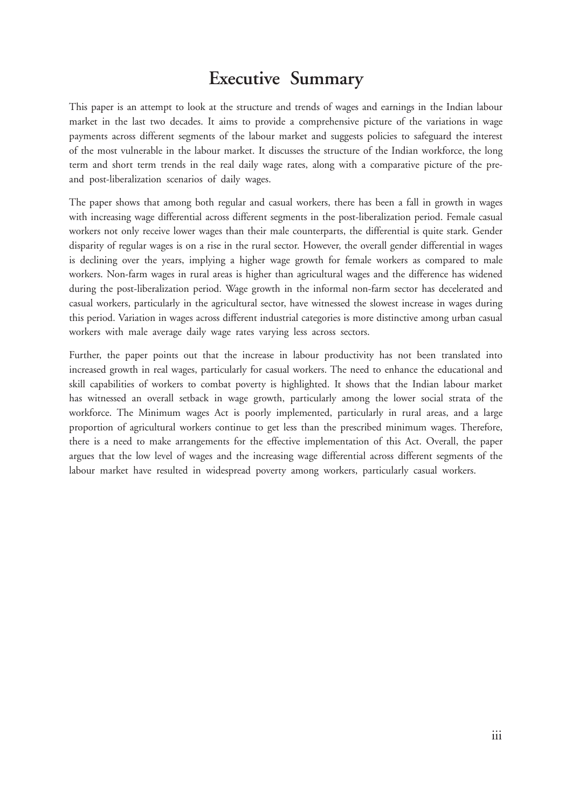# **Executive Summary**

This paper is an attempt to look at the structure and trends of wages and earnings in the Indian labour market in the last two decades. It aims to provide a comprehensive picture of the variations in wage payments across different segments of the labour market and suggests policies to safeguard the interest of the most vulnerable in the labour market. It discusses the structure of the Indian workforce, the long term and short term trends in the real daily wage rates, along with a comparative picture of the preand post-liberalization scenarios of daily wages.

The paper shows that among both regular and casual workers, there has been a fall in growth in wages with increasing wage differential across different segments in the post-liberalization period. Female casual workers not only receive lower wages than their male counterparts, the differential is quite stark. Gender disparity of regular wages is on a rise in the rural sector. However, the overall gender differential in wages is declining over the years, implying a higher wage growth for female workers as compared to male workers. Non-farm wages in rural areas is higher than agricultural wages and the difference has widened during the post-liberalization period. Wage growth in the informal non-farm sector has decelerated and casual workers, particularly in the agricultural sector, have witnessed the slowest increase in wages during this period. Variation in wages across different industrial categories is more distinctive among urban casual workers with male average daily wage rates varying less across sectors.

Further, the paper points out that the increase in labour productivity has not been translated into increased growth in real wages, particularly for casual workers. The need to enhance the educational and skill capabilities of workers to combat poverty is highlighted. It shows that the Indian labour market has witnessed an overall setback in wage growth, particularly among the lower social strata of the workforce. The Minimum wages Act is poorly implemented, particularly in rural areas, and a large proportion of agricultural workers continue to get less than the prescribed minimum wages. Therefore, there is a need to make arrangements for the effective implementation of this Act. Overall, the paper argues that the low level of wages and the increasing wage differential across different segments of the labour market have resulted in widespread poverty among workers, particularly casual workers.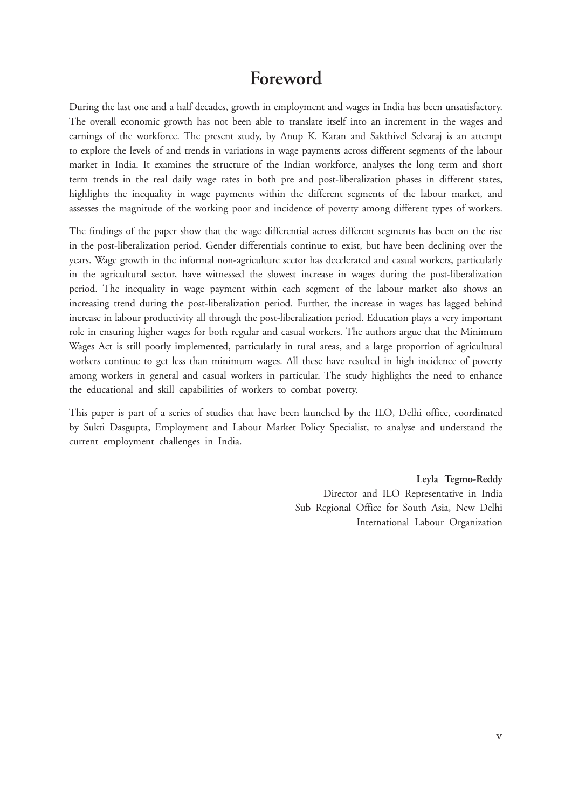# **Foreword**

During the last one and a half decades, growth in employment and wages in India has been unsatisfactory. The overall economic growth has not been able to translate itself into an increment in the wages and earnings of the workforce. The present study, by Anup K. Karan and Sakthivel Selvaraj is an attempt to explore the levels of and trends in variations in wage payments across different segments of the labour market in India. It examines the structure of the Indian workforce, analyses the long term and short term trends in the real daily wage rates in both pre and post-liberalization phases in different states, highlights the inequality in wage payments within the different segments of the labour market, and assesses the magnitude of the working poor and incidence of poverty among different types of workers.

The findings of the paper show that the wage differential across different segments has been on the rise in the post-liberalization period. Gender differentials continue to exist, but have been declining over the years. Wage growth in the informal non-agriculture sector has decelerated and casual workers, particularly in the agricultural sector, have witnessed the slowest increase in wages during the post-liberalization period. The inequality in wage payment within each segment of the labour market also shows an increasing trend during the post-liberalization period. Further, the increase in wages has lagged behind increase in labour productivity all through the post-liberalization period. Education plays a very important role in ensuring higher wages for both regular and casual workers. The authors argue that the Minimum Wages Act is still poorly implemented, particularly in rural areas, and a large proportion of agricultural workers continue to get less than minimum wages. All these have resulted in high incidence of poverty among workers in general and casual workers in particular. The study highlights the need to enhance the educational and skill capabilities of workers to combat poverty.

This paper is part of a series of studies that have been launched by the ILO, Delhi office, coordinated by Sukti Dasgupta, Employment and Labour Market Policy Specialist, to analyse and understand the current employment challenges in India.

> **Leyla Tegmo-Reddy** Director and ILO Representative in India Sub Regional Office for South Asia, New Delhi International Labour Organization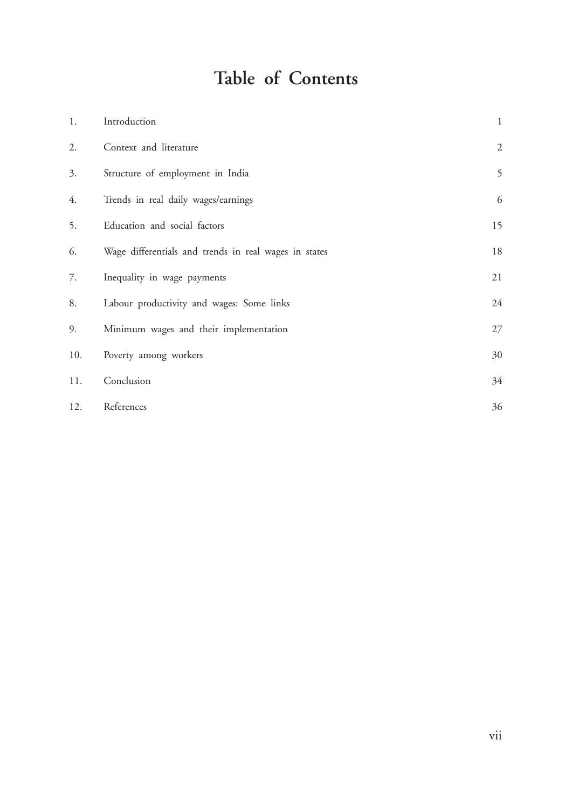# **Table of Contents**

| 1.  | Introduction                                          | $\mathbf{1}$ |
|-----|-------------------------------------------------------|--------------|
| 2.  | Context and literature                                | $\sqrt{2}$   |
| 3.  | Structure of employment in India                      | 5            |
| 4.  | Trends in real daily wages/earnings                   | 6            |
| 5.  | Education and social factors                          | 15           |
| 6.  | Wage differentials and trends in real wages in states | $18\,$       |
| 7.  | Inequality in wage payments                           | 21           |
| 8.  | Labour productivity and wages: Some links             | 24           |
| 9.  | Minimum wages and their implementation                | 27           |
| 10. | Poverty among workers                                 | 30           |
| 11. | Conclusion                                            | 34           |
| 12. | References                                            | 36           |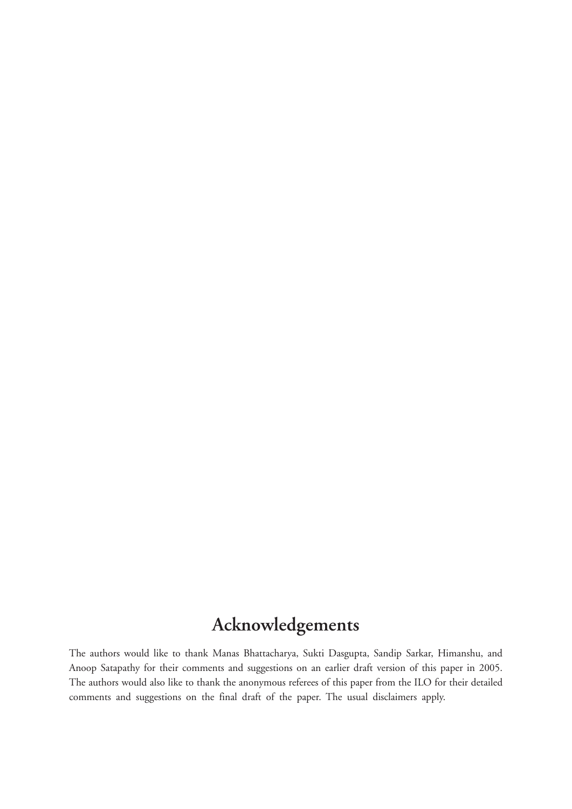# **Acknowledgements**

The authors would like to thank Manas Bhattacharya, Sukti Dasgupta, Sandip Sarkar, Himanshu, and Anoop Satapathy for their comments and suggestions on an earlier draft version of this paper in 2005. The authors would also like to thank the anonymous referees of this paper from the ILO for their detailed comments and suggestions on the final draft of the paper. The usual disclaimers apply.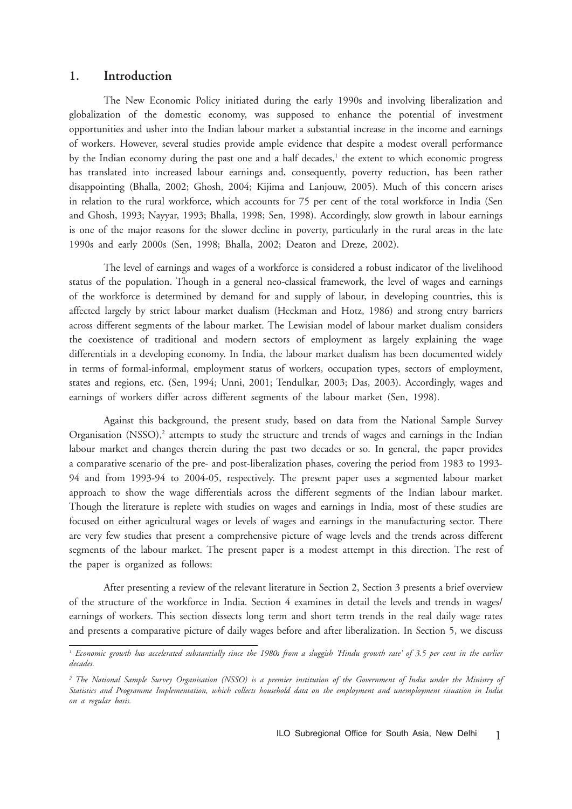### **1. Introduction**

The New Economic Policy initiated during the early 1990s and involving liberalization and globalization of the domestic economy, was supposed to enhance the potential of investment opportunities and usher into the Indian labour market a substantial increase in the income and earnings of workers. However, several studies provide ample evidence that despite a modest overall performance by the Indian economy during the past one and a half decades,<sup>1</sup> the extent to which economic progress has translated into increased labour earnings and, consequently, poverty reduction, has been rather disappointing (Bhalla, 2002; Ghosh, 2004; Kijima and Lanjouw, 2005). Much of this concern arises in relation to the rural workforce, which accounts for 75 per cent of the total workforce in India (Sen and Ghosh, 1993; Nayyar, 1993; Bhalla, 1998; Sen, 1998). Accordingly, slow growth in labour earnings is one of the major reasons for the slower decline in poverty, particularly in the rural areas in the late 1990s and early 2000s (Sen, 1998; Bhalla, 2002; Deaton and Dreze, 2002).

The level of earnings and wages of a workforce is considered a robust indicator of the livelihood status of the population. Though in a general neo-classical framework, the level of wages and earnings of the workforce is determined by demand for and supply of labour, in developing countries, this is affected largely by strict labour market dualism (Heckman and Hotz, 1986) and strong entry barriers across different segments of the labour market. The Lewisian model of labour market dualism considers the coexistence of traditional and modern sectors of employment as largely explaining the wage differentials in a developing economy. In India, the labour market dualism has been documented widely in terms of formal-informal, employment status of workers, occupation types, sectors of employment, states and regions, etc. (Sen, 1994; Unni, 2001; Tendulkar, 2003; Das, 2003). Accordingly, wages and earnings of workers differ across different segments of the labour market (Sen, 1998).

Against this background, the present study, based on data from the National Sample Survey Organisation (NSSO),<sup>2</sup> attempts to study the structure and trends of wages and earnings in the Indian labour market and changes therein during the past two decades or so. In general, the paper provides a comparative scenario of the pre- and post-liberalization phases, covering the period from 1983 to 1993- 94 and from 1993-94 to 2004-05, respectively. The present paper uses a segmented labour market approach to show the wage differentials across the different segments of the Indian labour market. Though the literature is replete with studies on wages and earnings in India, most of these studies are focused on either agricultural wages or levels of wages and earnings in the manufacturing sector. There are very few studies that present a comprehensive picture of wage levels and the trends across different segments of the labour market. The present paper is a modest attempt in this direction. The rest of the paper is organized as follows:

After presenting a review of the relevant literature in Section 2, Section 3 presents a brief overview of the structure of the workforce in India. Section 4 examines in detail the levels and trends in wages/ earnings of workers. This section dissects long term and short term trends in the real daily wage rates and presents a comparative picture of daily wages before and after liberalization. In Section 5, we discuss

*<sup>1</sup> Economic growth has accelerated substantially since the 1980s from a sluggish 'Hindu growth rate' of 3.5 per cent in the earlier decades.*

<sup>&</sup>lt;sup>2</sup> The National Sample Survey Organisation (NSSO) is a premier institution of the Government of India under the Ministry of *Statistics and Programme Implementation, which collects household data on the employment and unemployment situation in India on a regular basis.*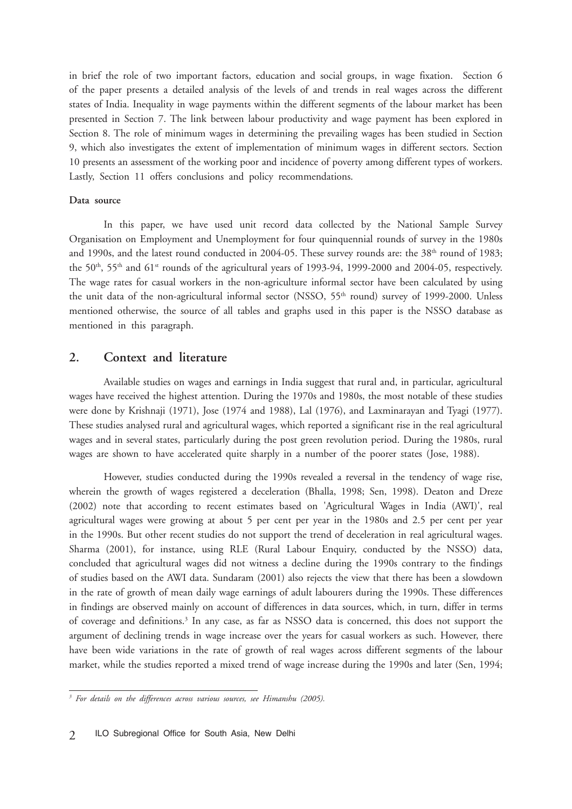in brief the role of two important factors, education and social groups, in wage fixation. Section 6 of the paper presents a detailed analysis of the levels of and trends in real wages across the different states of India. Inequality in wage payments within the different segments of the labour market has been presented in Section 7. The link between labour productivity and wage payment has been explored in Section 8. The role of minimum wages in determining the prevailing wages has been studied in Section 9, which also investigates the extent of implementation of minimum wages in different sectors. Section 10 presents an assessment of the working poor and incidence of poverty among different types of workers. Lastly, Section 11 offers conclusions and policy recommendations.

#### **Data source**

In this paper, we have used unit record data collected by the National Sample Survey Organisation on Employment and Unemployment for four quinquennial rounds of survey in the 1980s and 1990s, and the latest round conducted in 2004-05. These survey rounds are: the 38<sup>th</sup> round of 1983; the 50<sup>th</sup>, 55<sup>th</sup> and 61<sup>st</sup> rounds of the agricultural years of 1993-94, 1999-2000 and 2004-05, respectively. The wage rates for casual workers in the non-agriculture informal sector have been calculated by using the unit data of the non-agricultural informal sector (NSSO, 55<sup>th</sup> round) survey of 1999-2000. Unless mentioned otherwise, the source of all tables and graphs used in this paper is the NSSO database as mentioned in this paragraph.

## **2. Context and literature**

Available studies on wages and earnings in India suggest that rural and, in particular, agricultural wages have received the highest attention. During the 1970s and 1980s, the most notable of these studies were done by Krishnaji (1971), Jose (1974 and 1988), Lal (1976), and Laxminarayan and Tyagi (1977). These studies analysed rural and agricultural wages, which reported a significant rise in the real agricultural wages and in several states, particularly during the post green revolution period. During the 1980s, rural wages are shown to have accelerated quite sharply in a number of the poorer states (Jose, 1988).

However, studies conducted during the 1990s revealed a reversal in the tendency of wage rise, wherein the growth of wages registered a deceleration (Bhalla, 1998; Sen, 1998). Deaton and Dreze (2002) note that according to recent estimates based on 'Agricultural Wages in India (AWI)', real agricultural wages were growing at about 5 per cent per year in the 1980s and 2.5 per cent per year in the 1990s. But other recent studies do not support the trend of deceleration in real agricultural wages. Sharma (2001), for instance, using RLE (Rural Labour Enquiry, conducted by the NSSO) data, concluded that agricultural wages did not witness a decline during the 1990s contrary to the findings of studies based on the AWI data. Sundaram (2001) also rejects the view that there has been a slowdown in the rate of growth of mean daily wage earnings of adult labourers during the 1990s. These differences in findings are observed mainly on account of differences in data sources, which, in turn, differ in terms of coverage and definitions.<sup>3</sup> In any case, as far as NSSO data is concerned, this does not support the argument of declining trends in wage increase over the years for casual workers as such. However, there have been wide variations in the rate of growth of real wages across different segments of the labour market, while the studies reported a mixed trend of wage increase during the 1990s and later (Sen, 1994;

*<sup>3</sup> For details on the differences across various sources, see Himanshu (2005).*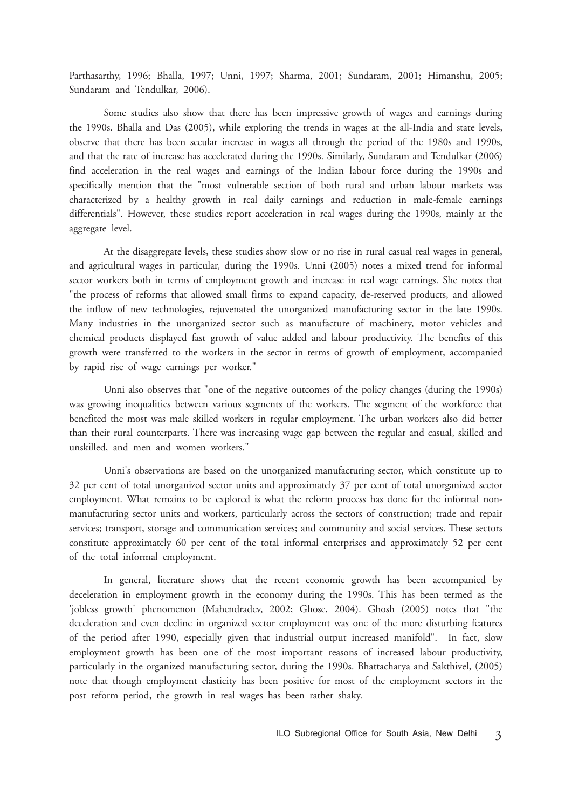Parthasarthy, 1996; Bhalla, 1997; Unni, 1997; Sharma, 2001; Sundaram, 2001; Himanshu, 2005; Sundaram and Tendulkar, 2006).

Some studies also show that there has been impressive growth of wages and earnings during the 1990s. Bhalla and Das (2005), while exploring the trends in wages at the all-India and state levels, observe that there has been secular increase in wages all through the period of the 1980s and 1990s, and that the rate of increase has accelerated during the 1990s. Similarly, Sundaram and Tendulkar (2006) find acceleration in the real wages and earnings of the Indian labour force during the 1990s and specifically mention that the "most vulnerable section of both rural and urban labour markets was characterized by a healthy growth in real daily earnings and reduction in male-female earnings differentials". However, these studies report acceleration in real wages during the 1990s, mainly at the aggregate level.

At the disaggregate levels, these studies show slow or no rise in rural casual real wages in general, and agricultural wages in particular, during the 1990s. Unni (2005) notes a mixed trend for informal sector workers both in terms of employment growth and increase in real wage earnings. She notes that "the process of reforms that allowed small firms to expand capacity, de-reserved products, and allowed the inflow of new technologies, rejuvenated the unorganized manufacturing sector in the late 1990s. Many industries in the unorganized sector such as manufacture of machinery, motor vehicles and chemical products displayed fast growth of value added and labour productivity. The benefits of this growth were transferred to the workers in the sector in terms of growth of employment, accompanied by rapid rise of wage earnings per worker."

Unni also observes that "one of the negative outcomes of the policy changes (during the 1990s) was growing inequalities between various segments of the workers. The segment of the workforce that benefited the most was male skilled workers in regular employment. The urban workers also did better than their rural counterparts. There was increasing wage gap between the regular and casual, skilled and unskilled, and men and women workers."

Unni's observations are based on the unorganized manufacturing sector, which constitute up to 32 per cent of total unorganized sector units and approximately 37 per cent of total unorganized sector employment. What remains to be explored is what the reform process has done for the informal nonmanufacturing sector units and workers, particularly across the sectors of construction; trade and repair services; transport, storage and communication services; and community and social services. These sectors constitute approximately 60 per cent of the total informal enterprises and approximately 52 per cent of the total informal employment.

In general, literature shows that the recent economic growth has been accompanied by deceleration in employment growth in the economy during the 1990s. This has been termed as the 'jobless growth' phenomenon (Mahendradev, 2002; Ghose, 2004). Ghosh (2005) notes that "the deceleration and even decline in organized sector employment was one of the more disturbing features of the period after 1990, especially given that industrial output increased manifold". In fact, slow employment growth has been one of the most important reasons of increased labour productivity, particularly in the organized manufacturing sector, during the 1990s. Bhattacharya and Sakthivel, (2005) note that though employment elasticity has been positive for most of the employment sectors in the post reform period, the growth in real wages has been rather shaky.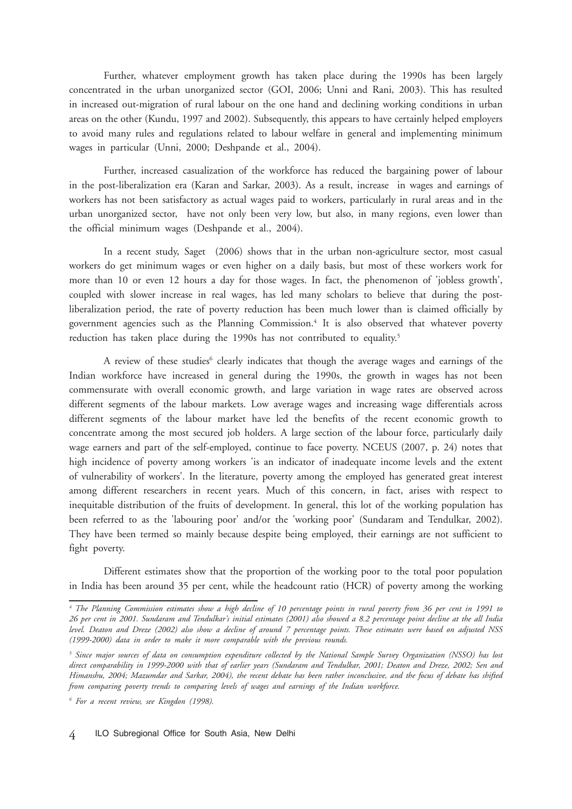Further, whatever employment growth has taken place during the 1990s has been largely concentrated in the urban unorganized sector (GOI, 2006; Unni and Rani, 2003). This has resulted in increased out-migration of rural labour on the one hand and declining working conditions in urban areas on the other (Kundu, 1997 and 2002). Subsequently, this appears to have certainly helped employers to avoid many rules and regulations related to labour welfare in general and implementing minimum wages in particular (Unni, 2000; Deshpande et al., 2004).

Further, increased casualization of the workforce has reduced the bargaining power of labour in the post-liberalization era (Karan and Sarkar, 2003). As a result, increase in wages and earnings of workers has not been satisfactory as actual wages paid to workers, particularly in rural areas and in the urban unorganized sector, have not only been very low, but also, in many regions, even lower than the official minimum wages (Deshpande et al., 2004).

In a recent study, Saget (2006) shows that in the urban non-agriculture sector, most casual workers do get minimum wages or even higher on a daily basis, but most of these workers work for more than 10 or even 12 hours a day for those wages. In fact, the phenomenon of 'jobless growth', coupled with slower increase in real wages, has led many scholars to believe that during the postliberalization period, the rate of poverty reduction has been much lower than is claimed officially by government agencies such as the Planning Commission.4 It is also observed that whatever poverty reduction has taken place during the 1990s has not contributed to equality.<sup>5</sup>

A review of these studies<sup>6</sup> clearly indicates that though the average wages and earnings of the Indian workforce have increased in general during the 1990s, the growth in wages has not been commensurate with overall economic growth, and large variation in wage rates are observed across different segments of the labour markets. Low average wages and increasing wage differentials across different segments of the labour market have led the benefits of the recent economic growth to concentrate among the most secured job holders. A large section of the labour force, particularly daily wage earners and part of the self-employed, continue to face poverty. NCEUS (2007, p. 24) notes that high incidence of poverty among workers 'is an indicator of inadequate income levels and the extent of vulnerability of workers'. In the literature, poverty among the employed has generated great interest among different researchers in recent years. Much of this concern, in fact, arises with respect to inequitable distribution of the fruits of development. In general, this lot of the working population has been referred to as the 'labouring poor' and/or the 'working poor' (Sundaram and Tendulkar, 2002). They have been termed so mainly because despite being employed, their earnings are not sufficient to fight poverty.

Different estimates show that the proportion of the working poor to the total poor population in India has been around 35 per cent, while the headcount ratio (HCR) of poverty among the working

*<sup>4</sup> The Planning Commission estimates show a high decline of 10 percentage points in rural poverty from 36 per cent in 1991 to 26 per cent in 2001. Sundaram and Tendulkar's initial estimates (2001) also showed a 8.2 percentage point decline at the all India level. Deaton and Dreze (2002) also show a decline of around 7 percentage points. These estimates were based on adjusted NSS (1999-2000) data in order to make it more comparable with the previous rounds.*

*<sup>5</sup> Since major sources of data on consumption expenditure collected by the National Sample Survey Organization (NSSO) has lost direct comparability in 1999-2000 with that of earlier years (Sundaram and Tendulkar, 2001; Deaton and Dreze, 2002; Sen and Himanshu, 2004; Mazumdar and Sarkar, 2004), the recent debate has been rather inconclusive, and the focus of debate has shifted from comparing poverty trends to comparing levels of wages and earnings of the Indian workforce.*

*<sup>6</sup> For a recent review, see Kingdon (1998).*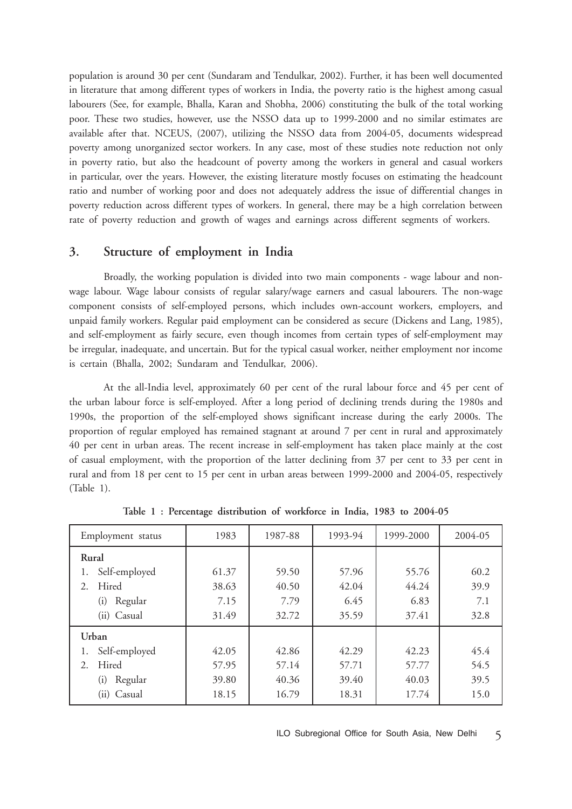population is around 30 per cent (Sundaram and Tendulkar, 2002). Further, it has been well documented in literature that among different types of workers in India, the poverty ratio is the highest among casual labourers (See, for example, Bhalla, Karan and Shobha, 2006) constituting the bulk of the total working poor. These two studies, however, use the NSSO data up to 1999-2000 and no similar estimates are available after that. NCEUS, (2007), utilizing the NSSO data from 2004-05, documents widespread poverty among unorganized sector workers. In any case, most of these studies note reduction not only in poverty ratio, but also the headcount of poverty among the workers in general and casual workers in particular, over the years. However, the existing literature mostly focuses on estimating the headcount ratio and number of working poor and does not adequately address the issue of differential changes in poverty reduction across different types of workers. In general, there may be a high correlation between rate of poverty reduction and growth of wages and earnings across different segments of workers.

# **3. Structure of employment in India**

Broadly, the working population is divided into two main components - wage labour and nonwage labour. Wage labour consists of regular salary/wage earners and casual labourers. The non-wage component consists of self-employed persons, which includes own-account workers, employers, and unpaid family workers. Regular paid employment can be considered as secure (Dickens and Lang, 1985), and self-employment as fairly secure, even though incomes from certain types of self-employment may be irregular, inadequate, and uncertain. But for the typical casual worker, neither employment nor income is certain (Bhalla, 2002; Sundaram and Tendulkar, 2006).

At the all-India level, approximately 60 per cent of the rural labour force and 45 per cent of the urban labour force is self-employed. After a long period of declining trends during the 1980s and 1990s, the proportion of the self-employed shows significant increase during the early 2000s. The proportion of regular employed has remained stagnant at around 7 per cent in rural and approximately 40 per cent in urban areas. The recent increase in self-employment has taken place mainly at the cost of casual employment, with the proportion of the latter declining from 37 per cent to 33 per cent in rural and from 18 per cent to 15 per cent in urban areas between 1999-2000 and 2004-05, respectively (Table 1).

| Employment status   | 1983  | 1987-88 | 1993-94 | 1999-2000 | 2004-05 |
|---------------------|-------|---------|---------|-----------|---------|
| Rural               |       |         |         |           |         |
| Self-employed<br>1. | 61.37 | 59.50   | 57.96   | 55.76     | 60.2    |
| Hired<br>2.         | 38.63 | 40.50   | 42.04   | 44.24     | 39.9    |
| Regular<br>(i)      | 7.15  | 7.79    | 6.45    | 6.83      | 7.1     |
| (ii) Casual         | 31.49 | 32.72   | 35.59   | 37.41     | 32.8    |
| Urban               |       |         |         |           |         |
| Self-employed<br>1. | 42.05 | 42.86   | 42.29   | 42.23     | 45.4    |
| Hired<br>2.         | 57.95 | 57.14   | 57.71   | 57.77     | 54.5    |
| Regular<br>(i)      | 39.80 | 40.36   | 39.40   | 40.03     | 39.5    |
| (ii) Casual         | 18.15 | 16.79   | 18.31   | 17.74     | 15.0    |

**Table 1 : Percentage distribution of workforce in India, 1983 to 2004-05**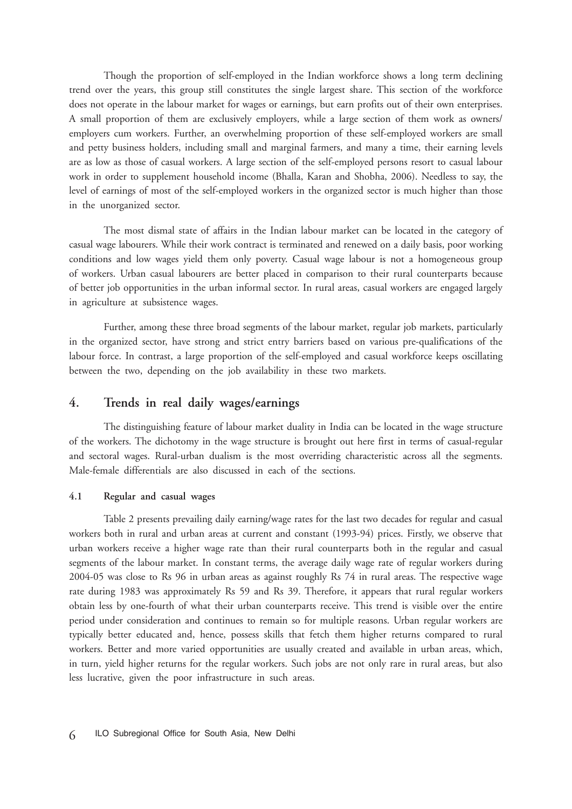Though the proportion of self-employed in the Indian workforce shows a long term declining trend over the years, this group still constitutes the single largest share. This section of the workforce does not operate in the labour market for wages or earnings, but earn profits out of their own enterprises. A small proportion of them are exclusively employers, while a large section of them work as owners/ employers cum workers. Further, an overwhelming proportion of these self-employed workers are small and petty business holders, including small and marginal farmers, and many a time, their earning levels are as low as those of casual workers. A large section of the self-employed persons resort to casual labour work in order to supplement household income (Bhalla, Karan and Shobha, 2006). Needless to say, the level of earnings of most of the self-employed workers in the organized sector is much higher than those in the unorganized sector.

The most dismal state of affairs in the Indian labour market can be located in the category of casual wage labourers. While their work contract is terminated and renewed on a daily basis, poor working conditions and low wages yield them only poverty. Casual wage labour is not a homogeneous group of workers. Urban casual labourers are better placed in comparison to their rural counterparts because of better job opportunities in the urban informal sector. In rural areas, casual workers are engaged largely in agriculture at subsistence wages.

Further, among these three broad segments of the labour market, regular job markets, particularly in the organized sector, have strong and strict entry barriers based on various pre-qualifications of the labour force. In contrast, a large proportion of the self-employed and casual workforce keeps oscillating between the two, depending on the job availability in these two markets.

# **4. Trends in real daily wages/earnings**

The distinguishing feature of labour market duality in India can be located in the wage structure of the workers. The dichotomy in the wage structure is brought out here first in terms of casual-regular and sectoral wages. Rural-urban dualism is the most overriding characteristic across all the segments. Male-female differentials are also discussed in each of the sections.

#### **4.1 Regular and casual wages**

Table 2 presents prevailing daily earning/wage rates for the last two decades for regular and casual workers both in rural and urban areas at current and constant (1993-94) prices. Firstly, we observe that urban workers receive a higher wage rate than their rural counterparts both in the regular and casual segments of the labour market. In constant terms, the average daily wage rate of regular workers during 2004-05 was close to Rs 96 in urban areas as against roughly Rs 74 in rural areas. The respective wage rate during 1983 was approximately Rs 59 and Rs 39. Therefore, it appears that rural regular workers obtain less by one-fourth of what their urban counterparts receive. This trend is visible over the entire period under consideration and continues to remain so for multiple reasons. Urban regular workers are typically better educated and, hence, possess skills that fetch them higher returns compared to rural workers. Better and more varied opportunities are usually created and available in urban areas, which, in turn, yield higher returns for the regular workers. Such jobs are not only rare in rural areas, but also less lucrative, given the poor infrastructure in such areas.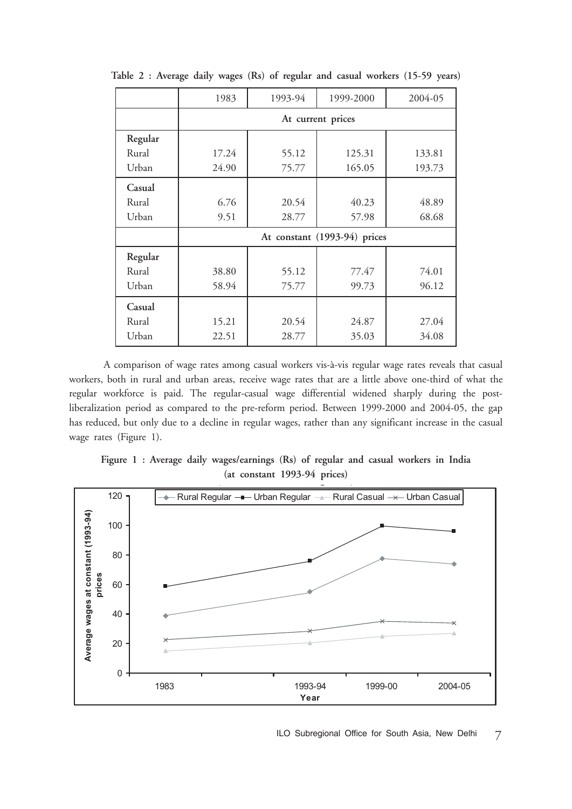|         | 1983                         | 1993-94 | 1999-2000 | 2004-05 |  |  |  |  |  |  |
|---------|------------------------------|---------|-----------|---------|--|--|--|--|--|--|
|         | At current prices            |         |           |         |  |  |  |  |  |  |
| Regular |                              |         |           |         |  |  |  |  |  |  |
| Rural   | 17.24                        | 55.12   | 125.31    | 133.81  |  |  |  |  |  |  |
| Urban   | 24.90                        | 75.77   | 165.05    | 193.73  |  |  |  |  |  |  |
| Casual  |                              |         |           |         |  |  |  |  |  |  |
| Rural   | 6.76                         | 20.54   | 40.23     | 48.89   |  |  |  |  |  |  |
| Urban   | 9.51                         | 28.77   | 57.98     | 68.68   |  |  |  |  |  |  |
|         | At constant (1993-94) prices |         |           |         |  |  |  |  |  |  |
| Regular |                              |         |           |         |  |  |  |  |  |  |
| Rural   | 38.80                        | 55.12   | 77.47     | 74.01   |  |  |  |  |  |  |
| Urban   | 58.94                        | 75.77   | 99.73     | 96.12   |  |  |  |  |  |  |
| Casual  |                              |         |           |         |  |  |  |  |  |  |
| Rural   | 15.21                        | 20.54   | 24.87     | 27.04   |  |  |  |  |  |  |
| Urban   | 22.51                        | 28.77   | 35.03     | 34.08   |  |  |  |  |  |  |

**Table 2 : Average daily wages (Rs) of regular and casual workers (15-59 years)**

A comparison of wage rates among casual workers vis-à-vis regular wage rates reveals that casual workers, both in rural and urban areas, receive wage rates that are a little above one-third of what the regular workforce is paid. The regular-casual wage differential widened sharply during the postliberalization period as compared to the pre-reform period. Between 1999-2000 and 2004-05, the gap has reduced, but only due to a decline in regular wages, rather than any significant increase in the casual wage rates (Figure 1).

Figure 1 : Average daily wages/earnings (Rs) of regular and casual workers in India<br>(at constant 1993-94 prices) (at constant 1993-94 prices)

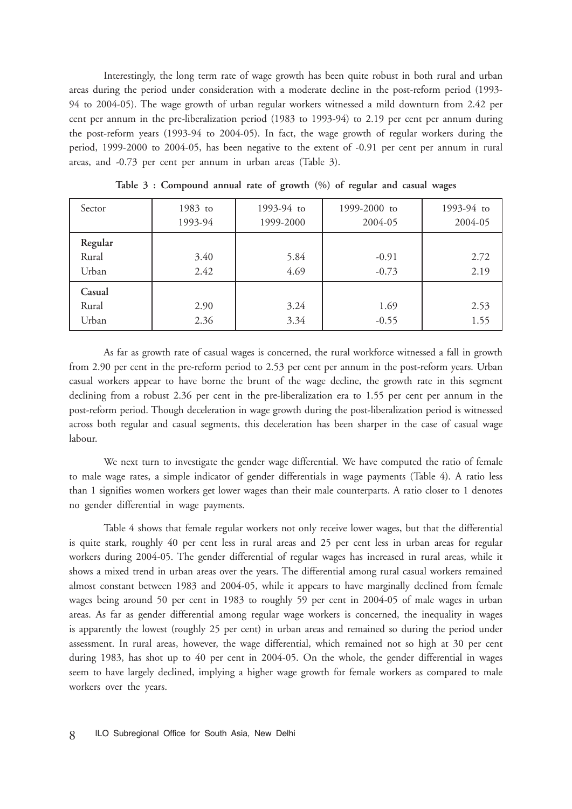Interestingly, the long term rate of wage growth has been quite robust in both rural and urban areas during the period under consideration with a moderate decline in the post-reform period (1993- 94 to 2004-05). The wage growth of urban regular workers witnessed a mild downturn from 2.42 per cent per annum in the pre-liberalization period (1983 to 1993-94) to 2.19 per cent per annum during the post-reform years (1993-94 to 2004-05). In fact, the wage growth of regular workers during the period, 1999-2000 to 2004-05, has been negative to the extent of -0.91 per cent per annum in rural areas, and -0.73 per cent per annum in urban areas (Table 3).

| Sector                    | 1983 to<br>1993-94 | 1993-94 to<br>1999-2000 | 1999-2000 to<br>2004-05 | 1993-94 to<br>2004-05 |
|---------------------------|--------------------|-------------------------|-------------------------|-----------------------|
| Regular<br>Rural<br>Urban | 3.40<br>2.42       | 5.84<br>4.69            | $-0.91$<br>$-0.73$      | 2.72<br>2.19          |
| Casual<br>Rural<br>Urban  | 2.90<br>2.36       | 3.24<br>3.34            | 1.69<br>$-0.55$         | 2.53<br>1.55          |

**Table 3 : Compound annual rate of growth (%) of regular and casual wages**

As far as growth rate of casual wages is concerned, the rural workforce witnessed a fall in growth from 2.90 per cent in the pre-reform period to 2.53 per cent per annum in the post-reform years. Urban casual workers appear to have borne the brunt of the wage decline, the growth rate in this segment declining from a robust 2.36 per cent in the pre-liberalization era to 1.55 per cent per annum in the post-reform period. Though deceleration in wage growth during the post-liberalization period is witnessed across both regular and casual segments, this deceleration has been sharper in the case of casual wage labour.

We next turn to investigate the gender wage differential. We have computed the ratio of female to male wage rates, a simple indicator of gender differentials in wage payments (Table 4). A ratio less than 1 signifies women workers get lower wages than their male counterparts. A ratio closer to 1 denotes no gender differential in wage payments.

Table 4 shows that female regular workers not only receive lower wages, but that the differential is quite stark, roughly 40 per cent less in rural areas and 25 per cent less in urban areas for regular workers during 2004-05. The gender differential of regular wages has increased in rural areas, while it shows a mixed trend in urban areas over the years. The differential among rural casual workers remained almost constant between 1983 and 2004-05, while it appears to have marginally declined from female wages being around 50 per cent in 1983 to roughly 59 per cent in 2004-05 of male wages in urban areas. As far as gender differential among regular wage workers is concerned, the inequality in wages is apparently the lowest (roughly 25 per cent) in urban areas and remained so during the period under assessment. In rural areas, however, the wage differential, which remained not so high at 30 per cent during 1983, has shot up to 40 per cent in 2004-05. On the whole, the gender differential in wages seem to have largely declined, implying a higher wage growth for female workers as compared to male workers over the years.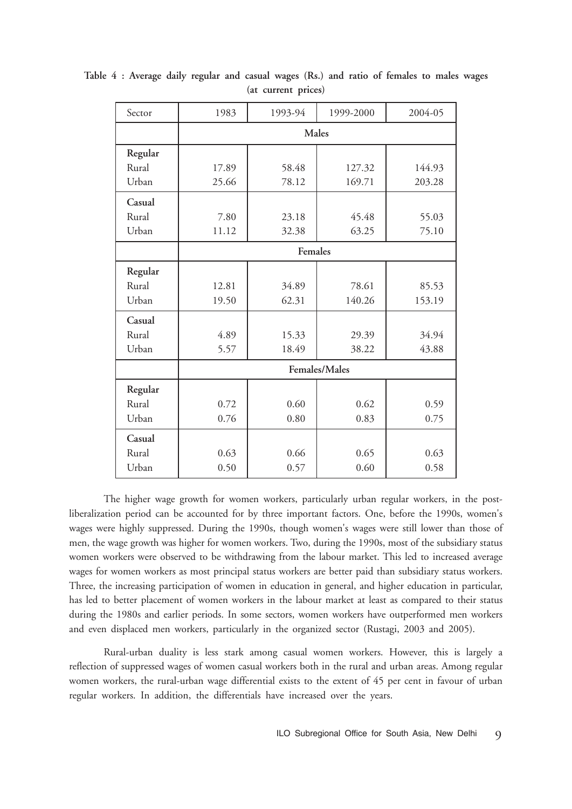| Sector  | 1983    | 1993-94<br>1999-2000 |               |        |  |  |  |  |  |
|---------|---------|----------------------|---------------|--------|--|--|--|--|--|
|         | Males   |                      |               |        |  |  |  |  |  |
| Regular |         |                      |               |        |  |  |  |  |  |
| Rural   | 17.89   | 58.48                | 127.32        | 144.93 |  |  |  |  |  |
| Urban   | 25.66   | 78.12                | 169.71        | 203.28 |  |  |  |  |  |
| Casual  |         |                      |               |        |  |  |  |  |  |
| Rural   | 7.80    | 23.18                | 45.48         | 55.03  |  |  |  |  |  |
| Urban   | 11.12   | 32.38                | 63.25         | 75.10  |  |  |  |  |  |
|         | Females |                      |               |        |  |  |  |  |  |
| Regular |         |                      |               |        |  |  |  |  |  |
| Rural   | 12.81   | 34.89                | 78.61         | 85.53  |  |  |  |  |  |
| Urban   | 19.50   | 62.31                | 140.26        | 153.19 |  |  |  |  |  |
| Casual  |         |                      |               |        |  |  |  |  |  |
| Rural   | 4.89    | 15.33                | 29.39         | 34.94  |  |  |  |  |  |
| Urban   | 5.57    | 18.49                | 38.22         | 43.88  |  |  |  |  |  |
|         |         |                      | Females/Males |        |  |  |  |  |  |
| Regular |         |                      |               |        |  |  |  |  |  |
| Rural   | 0.72    | 0.60                 | 0.62          | 0.59   |  |  |  |  |  |
| Urban   | 0.76    | 0.80                 | 0.83          | 0.75   |  |  |  |  |  |
| Casual  |         |                      |               |        |  |  |  |  |  |
| Rural   | 0.63    | 0.66                 | 0.65          | 0.63   |  |  |  |  |  |
| Urban   | 0.50    | 0.57                 | 0.60          | 0.58   |  |  |  |  |  |

**Table 4 : Average daily regular and casual wages (Rs.) and ratio of females to males wages (at current prices)**

The higher wage growth for women workers, particularly urban regular workers, in the postliberalization period can be accounted for by three important factors. One, before the 1990s, women's wages were highly suppressed. During the 1990s, though women's wages were still lower than those of men, the wage growth was higher for women workers. Two, during the 1990s, most of the subsidiary status women workers were observed to be withdrawing from the labour market. This led to increased average wages for women workers as most principal status workers are better paid than subsidiary status workers. Three, the increasing participation of women in education in general, and higher education in particular, has led to better placement of women workers in the labour market at least as compared to their status during the 1980s and earlier periods. In some sectors, women workers have outperformed men workers and even displaced men workers, particularly in the organized sector (Rustagi, 2003 and 2005).

Rural-urban duality is less stark among casual women workers. However, this is largely a reflection of suppressed wages of women casual workers both in the rural and urban areas. Among regular women workers, the rural-urban wage differential exists to the extent of 45 per cent in favour of urban regular workers. In addition, the differentials have increased over the years.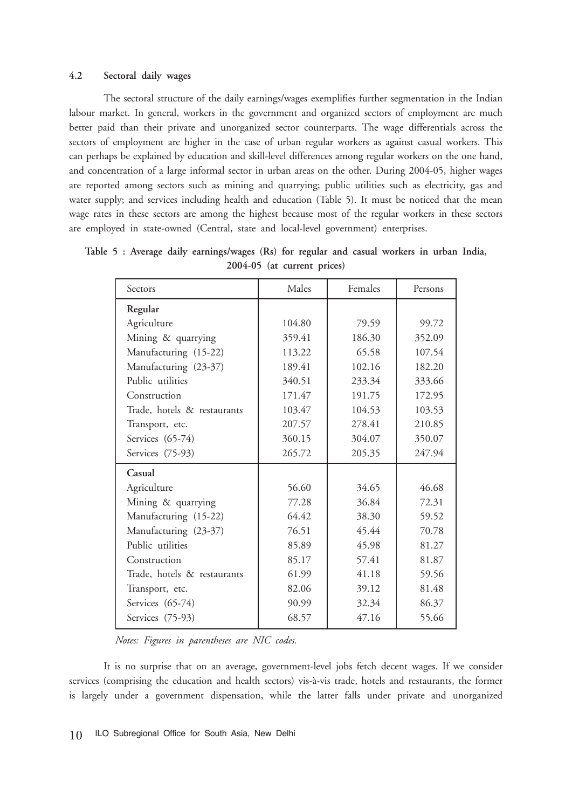#### **4.2 Sectoral daily wages**

The sectoral structure of the daily earnings/wages exemplifies further segmentation in the Indian labour market. In general, workers in the government and organized sectors of employment are much better paid than their private and unorganized sector counterparts. The wage differentials across the sectors of employment are higher in the case of urban regular workers as against casual workers. This can perhaps be explained by education and skill-level differences among regular workers on the one hand, and concentration of a large informal sector in urban areas on the other. During 2004-05, higher wages are reported among sectors such as mining and quarrying; public utilities such as electricity, gas and water supply; and services including health and education (Table 5). It must be noticed that the mean wage rates in these sectors are among the highest because most of the regular workers in these sectors are employed in state-owned (Central, state and local-level government) enterprises.

| Sectors                     | Males  | Females | Persons |
|-----------------------------|--------|---------|---------|
| Regular                     |        |         |         |
| Agriculture                 | 104.80 | 79.59   | 99.72   |
| Mining & quarrying          | 359.41 | 186.30  | 352.09  |
| Manufacturing (15-22)       | 113.22 | 65.58   | 107.54  |
| Manufacturing (23-37)       | 189.41 | 102.16  | 182.20  |
| Public utilities            | 340.51 | 233.34  | 333.66  |
| Construction                | 171.47 | 191.75  | 172.95  |
| Trade, hotels & restaurants | 103.47 | 104.53  | 103.53  |
| Transport, etc.             | 207.57 | 278.41  | 210.85  |
| Services (65-74)            | 360.15 | 304.07  | 350.07  |
| Services (75-93)            | 265.72 | 205.35  | 247.94  |
| Casual                      |        |         |         |
| Agriculture                 | 56.60  | 34.65   | 46.68   |
| Mining & quarrying          | 77.28  | 36.84   | 72.31   |
| Manufacturing (15-22)       | 64.42  | 38.30   | 59.52   |
| Manufacturing (23-37)       | 76.51  | 45.44   | 70.78   |
| Public utilities            | 85.89  | 45.98   | 81.27   |
| Construction                | 85.17  | 57.41   | 81.87   |
| Trade, hotels & restaurants | 61.99  | 41.18   | 59.56   |
| Transport, etc.             | 82.06  | 39.12   | 81.48   |
| Services (65-74)            | 90.99  | 32.34   | 86.37   |
| Services (75-93)            | 68.57  | 47.16   | 55.66   |
|                             |        |         |         |

**Table 5 : Average daily earnings/wages (Rs) for regular and casual workers in urban India, 2004-05 (at current prices)**

*Notes: Figures in parentheses are NIC codes.*

It is no surprise that on an average, government-level jobs fetch decent wages. If we consider services (comprising the education and health sectors) vis-à-vis trade, hotels and restaurants, the former is largely under a government dispensation, while the latter falls under private and unorganized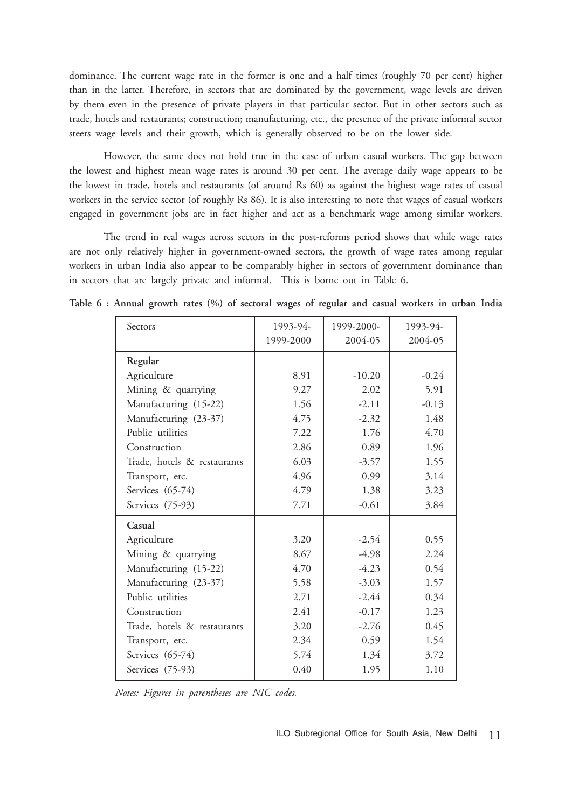dominance. The current wage rate in the former is one and a half times (roughly 70 per cent) higher than in the latter. Therefore, in sectors that are dominated by the government, wage levels are driven by them even in the presence of private players in that particular sector. But in other sectors such as trade, hotels and restaurants; construction; manufacturing, etc., the presence of the private informal sector steers wage levels and their growth, which is generally observed to be on the lower side.

However, the same does not hold true in the case of urban casual workers. The gap between the lowest and highest mean wage rates is around 30 per cent. The average daily wage appears to be the lowest in trade, hotels and restaurants (of around Rs 60) as against the highest wage rates of casual workers in the service sector (of roughly Rs 86). It is also interesting to note that wages of casual workers engaged in government jobs are in fact higher and act as a benchmark wage among similar workers.

The trend in real wages across sectors in the post-reforms period shows that while wage rates are not only relatively higher in government-owned sectors, the growth of wage rates among regular workers in urban India also appear to be comparably higher in sectors of government dominance than in sectors that are largely private and informal. This is borne out in Table 6.

| Sectors                     | 1993-94-  | 1999-2000- | 1993-94- |
|-----------------------------|-----------|------------|----------|
|                             | 1999-2000 | 2004-05    | 2004-05  |
| Regular                     |           |            |          |
| Agriculture                 | 8.91      | $-10.20$   | $-0.24$  |
| Mining & quarrying          | 9.27      | 2.02       | 5.91     |
| Manufacturing (15-22)       | 1.56      | $-2.11$    | $-0.13$  |
| Manufacturing (23-37)       | 4.75      | $-2.32$    | 1.48     |
| Public utilities            | 7.22      | 1.76       | 4.70     |
| Construction                | 2.86      | 0.89       | 1.96     |
| Trade, hotels & restaurants | 6.03      | $-3.57$    | 1.55     |
| Transport, etc.             | 4.96      | 0.99       | 3.14     |
| Services (65-74)            | 4.79      | 1.38       | 3.23     |
| Services (75-93)            | 7.71      | $-0.61$    | 3.84     |
| Casual                      |           |            |          |
| Agriculture                 | 3.20      | $-2.54$    | 0.55     |
| Mining & quarrying          | 8.67      | $-4.98$    | 2.24     |
| Manufacturing (15-22)       | 4.70      | $-4.23$    | 0.54     |
| Manufacturing (23-37)       | 5.58      | $-3.03$    | 1.57     |
| Public utilities            | 2.71      | $-2.44$    | 0.34     |
| Construction                | 2.41      | $-0.17$    | 1.23     |
| Trade, hotels & restaurants | 3.20      | $-2.76$    | 0.45     |
| Transport, etc.             | 2.34      | 0.59       | 1.54     |
| Services (65-74)            | 5.74      | 1.34       | 3.72     |
| Services (75-93)            | 0.40      | 1.95       | 1.10     |

**Table 6 : Annual growth rates (%) of sectoral wages of regular and casual workers in urban India**

*Notes: Figures in parentheses are NIC codes.*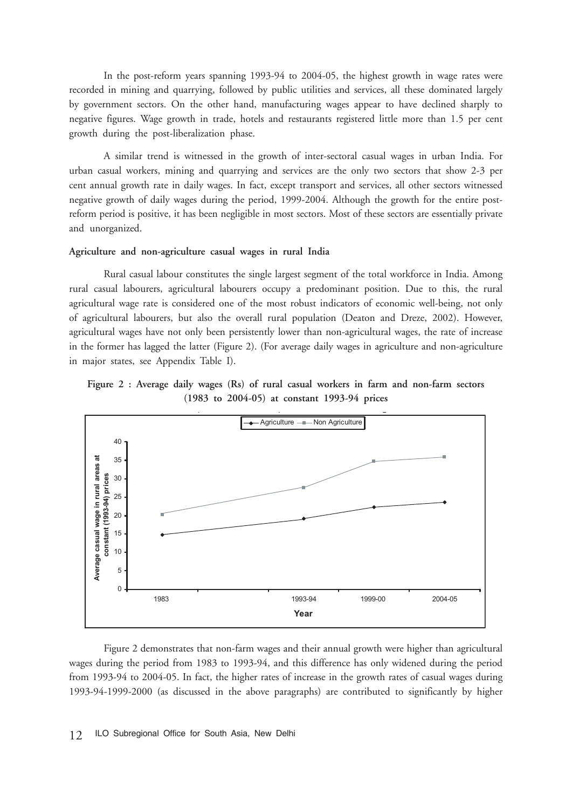In the post-reform years spanning 1993-94 to 2004-05, the highest growth in wage rates were recorded in mining and quarrying, followed by public utilities and services, all these dominated largely by government sectors. On the other hand, manufacturing wages appear to have declined sharply to negative figures. Wage growth in trade, hotels and restaurants registered little more than 1.5 per cent growth during the post-liberalization phase.

A similar trend is witnessed in the growth of inter-sectoral casual wages in urban India. For urban casual workers, mining and quarrying and services are the only two sectors that show 2-3 per cent annual growth rate in daily wages. In fact, except transport and services, all other sectors witnessed negative growth of daily wages during the period, 1999-2004. Although the growth for the entire postreform period is positive, it has been negligible in most sectors. Most of these sectors are essentially private and unorganized.

#### **Agriculture and non-agriculture casual wages in rural India**

Rural casual labour constitutes the single largest segment of the total workforce in India. Among rural casual labourers, agricultural labourers occupy a predominant position. Due to this, the rural agricultural wage rate is considered one of the most robust indicators of economic well-being, not only of agricultural labourers, but also the overall rural population (Deaton and Dreze, 2002). However, agricultural wages have not only been persistently lower than non-agricultural wages, the rate of increase in the former has lagged the latter (Figure 2). (For average daily wages in agriculture and non-agriculture in major states, see Appendix Table I).





Figure 2 demonstrates that non-farm wages and their annual growth were higher than agricultural wages during the period from 1983 to 1993-94, and this difference has only widened during the period from 1993-94 to 2004-05. In fact, the higher rates of increase in the growth rates of casual wages during 1993-94-1999-2000 (as discussed in the above paragraphs) are contributed to significantly by higher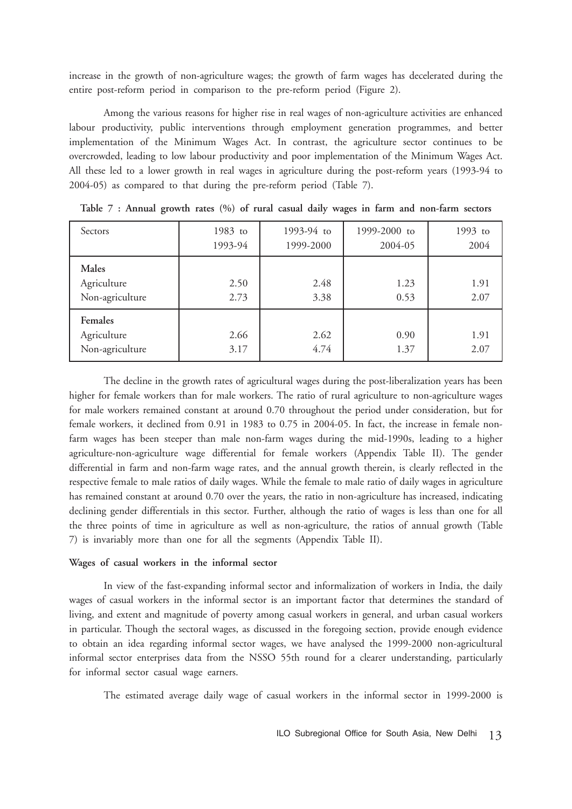increase in the growth of non-agriculture wages; the growth of farm wages has decelerated during the entire post-reform period in comparison to the pre-reform period (Figure 2).

Among the various reasons for higher rise in real wages of non-agriculture activities are enhanced labour productivity, public interventions through employment generation programmes, and better implementation of the Minimum Wages Act. In contrast, the agriculture sector continues to be overcrowded, leading to low labour productivity and poor implementation of the Minimum Wages Act. All these led to a lower growth in real wages in agriculture during the post-reform years (1993-94 to 2004-05) as compared to that during the pre-reform period (Table 7).

| Sectors                                          | 1983 to<br>1993-94 | 1993-94 to<br>1999-2000 | 1999-2000 to<br>2004-05 | 1993 to<br>2004 |
|--------------------------------------------------|--------------------|-------------------------|-------------------------|-----------------|
| Males<br>Agriculture<br>Non-agriculture          | 2.50<br>2.73       | 2.48<br>3.38            | 1.23<br>0.53            | 1.91<br>2.07    |
| <b>Females</b><br>Agriculture<br>Non-agriculture | 2.66<br>3.17       | 2.62<br>4.74            | 0.90<br>1.37            | 1.91<br>2.07    |

|  |  |  |  |  |  |  | Table 7 : Annual growth rates (%) of rural casual daily wages in farm and non-farm sectors |  |
|--|--|--|--|--|--|--|--------------------------------------------------------------------------------------------|--|
|  |  |  |  |  |  |  |                                                                                            |  |

The decline in the growth rates of agricultural wages during the post-liberalization years has been higher for female workers than for male workers. The ratio of rural agriculture to non-agriculture wages for male workers remained constant at around 0.70 throughout the period under consideration, but for female workers, it declined from 0.91 in 1983 to 0.75 in 2004-05. In fact, the increase in female nonfarm wages has been steeper than male non-farm wages during the mid-1990s, leading to a higher agriculture-non-agriculture wage differential for female workers (Appendix Table II). The gender differential in farm and non-farm wage rates, and the annual growth therein, is clearly reflected in the respective female to male ratios of daily wages. While the female to male ratio of daily wages in agriculture has remained constant at around 0.70 over the years, the ratio in non-agriculture has increased, indicating declining gender differentials in this sector. Further, although the ratio of wages is less than one for all the three points of time in agriculture as well as non-agriculture, the ratios of annual growth (Table 7) is invariably more than one for all the segments (Appendix Table II).

#### **Wages of casual workers in the informal sector**

In view of the fast-expanding informal sector and informalization of workers in India, the daily wages of casual workers in the informal sector is an important factor that determines the standard of living, and extent and magnitude of poverty among casual workers in general, and urban casual workers in particular. Though the sectoral wages, as discussed in the foregoing section, provide enough evidence to obtain an idea regarding informal sector wages, we have analysed the 1999-2000 non-agricultural informal sector enterprises data from the NSSO 55th round for a clearer understanding, particularly for informal sector casual wage earners.

The estimated average daily wage of casual workers in the informal sector in 1999-2000 is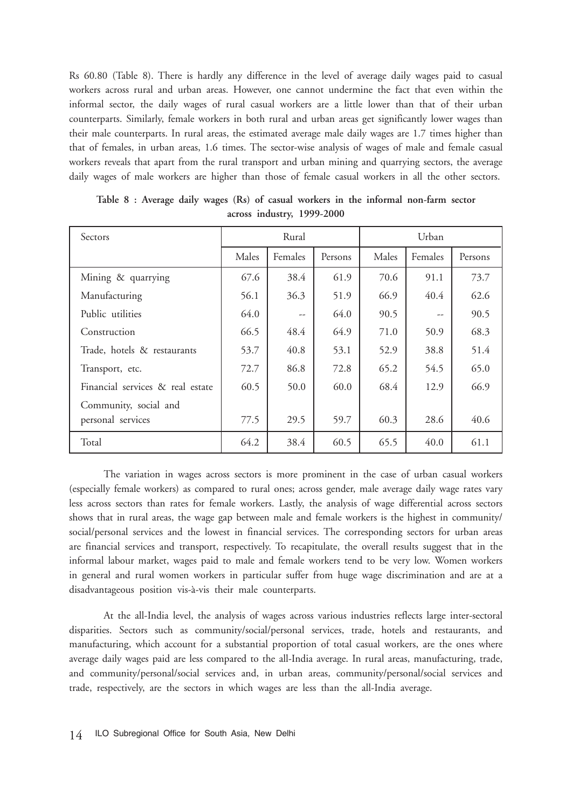Rs 60.80 (Table 8). There is hardly any difference in the level of average daily wages paid to casual workers across rural and urban areas. However, one cannot undermine the fact that even within the informal sector, the daily wages of rural casual workers are a little lower than that of their urban counterparts. Similarly, female workers in both rural and urban areas get significantly lower wages than their male counterparts. In rural areas, the estimated average male daily wages are 1.7 times higher than that of females, in urban areas, 1.6 times. The sector-wise analysis of wages of male and female casual workers reveals that apart from the rural transport and urban mining and quarrying sectors, the average daily wages of male workers are higher than those of female casual workers in all the other sectors.

| Sectors                          | Rural |         |         | Urban |                                     |         |
|----------------------------------|-------|---------|---------|-------|-------------------------------------|---------|
|                                  | Males | Females | Persons | Males | Females                             | Persons |
| Mining & quarrying               | 67.6  | 38.4    | 61.9    | 70.6  | 91.1                                | 73.7    |
| Manufacturing                    | 56.1  | 36.3    | 51.9    | 66.9  | 40.4                                | 62.6    |
| Public utilities                 | 64.0  | --      | 64.0    | 90.5  | $\hspace{0.05cm}$ $\hspace{0.05cm}$ | 90.5    |
| Construction                     | 66.5  | 48.4    | 64.9    | 71.0  | 50.9                                | 68.3    |
| Trade, hotels & restaurants      | 53.7  | 40.8    | 53.1    | 52.9  | 38.8                                | 51.4    |
| Transport, etc.                  | 72.7  | 86.8    | 72.8    | 65.2  | 54.5                                | 65.0    |
| Financial services & real estate | 60.5  | 50.0    | 60.0    | 68.4  | 12.9                                | 66.9    |
| Community, social and            |       |         |         |       |                                     |         |
| personal services                | 77.5  | 29.5    | 59.7    | 60.3  | 28.6                                | 40.6    |
| Total                            | 64.2  | 38.4    | 60.5    | 65.5  | 40.0                                | 61.1    |

**Table 8 : Average daily wages (Rs) of casual workers in the informal non-farm sector across industry, 1999-2000**

The variation in wages across sectors is more prominent in the case of urban casual workers (especially female workers) as compared to rural ones; across gender, male average daily wage rates vary less across sectors than rates for female workers. Lastly, the analysis of wage differential across sectors shows that in rural areas, the wage gap between male and female workers is the highest in community/ social/personal services and the lowest in financial services. The corresponding sectors for urban areas are financial services and transport, respectively. To recapitulate, the overall results suggest that in the informal labour market, wages paid to male and female workers tend to be very low. Women workers in general and rural women workers in particular suffer from huge wage discrimination and are at a disadvantageous position vis-à-vis their male counterparts.

At the all-India level, the analysis of wages across various industries reflects large inter-sectoral disparities. Sectors such as community/social/personal services, trade, hotels and restaurants, and manufacturing, which account for a substantial proportion of total casual workers, are the ones where average daily wages paid are less compared to the all-India average. In rural areas, manufacturing, trade, and community/personal/social services and, in urban areas, community/personal/social services and trade, respectively, are the sectors in which wages are less than the all-India average.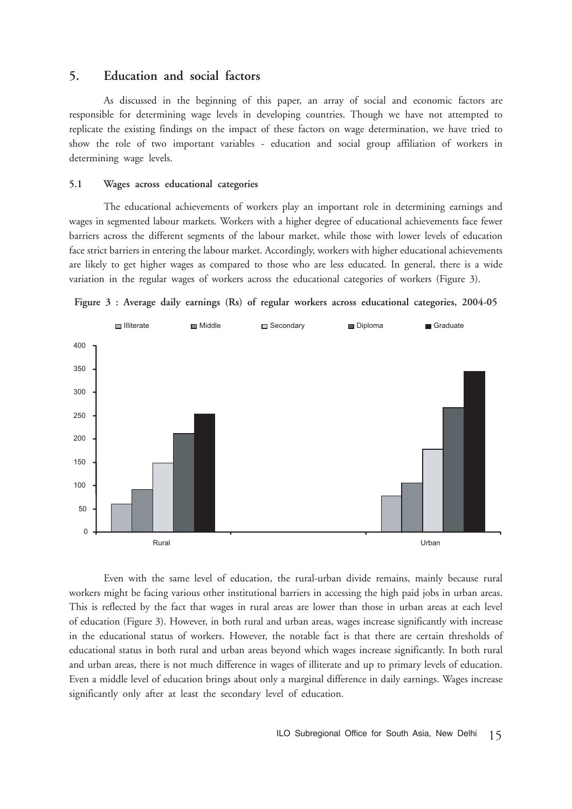# **5. Education and social factors**

As discussed in the beginning of this paper, an array of social and economic factors are responsible for determining wage levels in developing countries. Though we have not attempted to replicate the existing findings on the impact of these factors on wage determination, we have tried to show the role of two important variables - education and social group affiliation of workers in determining wage levels.

#### **5.1 Wages across educational categories**

The educational achievements of workers play an important role in determining earnings and wages in segmented labour markets. Workers with a higher degree of educational achievements face fewer barriers across the different segments of the labour market, while those with lower levels of education face strict barriers in entering the labour market. Accordingly, workers with higher educational achievements are likely to get higher wages as compared to those who are less educated. In general, there is a wide variation in the regular wages of workers across the educational categories of workers (Figure 3).





Even with the same level of education, the rural-urban divide remains, mainly because rural workers might be facing various other institutional barriers in accessing the high paid jobs in urban areas. This is reflected by the fact that wages in rural areas are lower than those in urban areas at each level of education (Figure 3). However, in both rural and urban areas, wages increase significantly with increase in the educational status of workers. However, the notable fact is that there are certain thresholds of educational status in both rural and urban areas beyond which wages increase significantly. In both rural and urban areas, there is not much difference in wages of illiterate and up to primary levels of education. Even a middle level of education brings about only a marginal difference in daily earnings. Wages increase significantly only after at least the secondary level of education.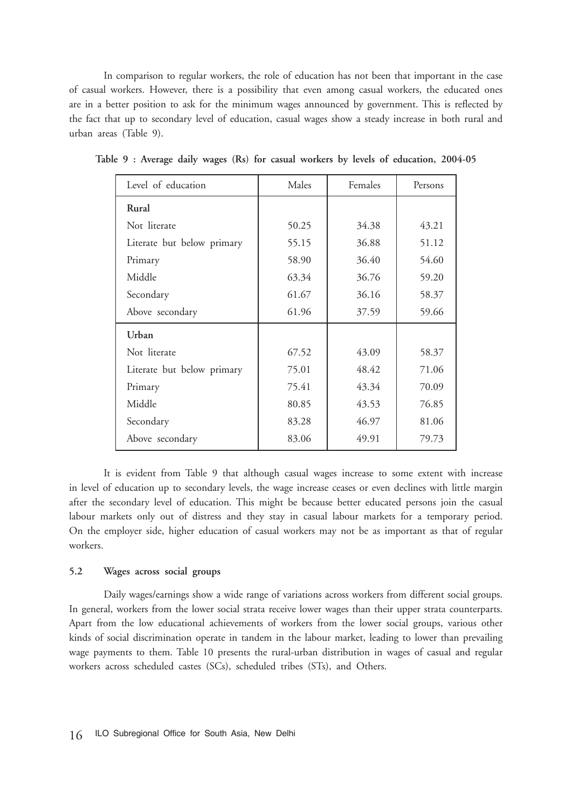In comparison to regular workers, the role of education has not been that important in the case of casual workers. However, there is a possibility that even among casual workers, the educated ones are in a better position to ask for the minimum wages announced by government. This is reflected by the fact that up to secondary level of education, casual wages show a steady increase in both rural and urban areas (Table 9).

| Level of education         | Males | Females | Persons |
|----------------------------|-------|---------|---------|
| Rural                      |       |         |         |
| Not literate               | 50.25 | 34.38   | 43.21   |
| Literate but below primary | 55.15 | 36.88   | 51.12   |
| Primary                    | 58.90 | 36.40   | 54.60   |
| Middle                     | 63.34 | 36.76   | 59.20   |
| Secondary                  | 61.67 | 36.16   | 58.37   |
| Above secondary            | 61.96 | 37.59   | 59.66   |
| Urban                      |       |         |         |
| Not literate               | 67.52 | 43.09   | 58.37   |
| Literate but below primary | 75.01 | 48.42   | 71.06   |
| Primary                    | 75.41 | 43.34   | 70.09   |
| Middle                     | 80.85 | 43.53   | 76.85   |
| Secondary                  | 83.28 | 46.97   | 81.06   |
| Above secondary            | 83.06 | 49.91   | 79.73   |

**Table 9 : Average daily wages (Rs) for casual workers by levels of education, 2004-05**

It is evident from Table 9 that although casual wages increase to some extent with increase in level of education up to secondary levels, the wage increase ceases or even declines with little margin after the secondary level of education. This might be because better educated persons join the casual labour markets only out of distress and they stay in casual labour markets for a temporary period. On the employer side, higher education of casual workers may not be as important as that of regular workers.

### **5.2 Wages across social groups**

Daily wages/earnings show a wide range of variations across workers from different social groups. In general, workers from the lower social strata receive lower wages than their upper strata counterparts. Apart from the low educational achievements of workers from the lower social groups, various other kinds of social discrimination operate in tandem in the labour market, leading to lower than prevailing wage payments to them. Table 10 presents the rural-urban distribution in wages of casual and regular workers across scheduled castes (SCs), scheduled tribes (STs), and Others.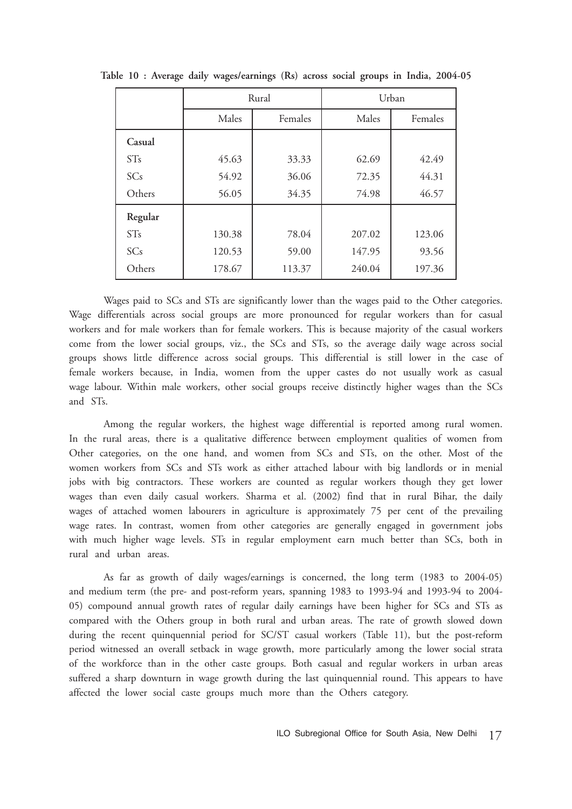|         |        | Rural   | Urban  |         |  |
|---------|--------|---------|--------|---------|--|
|         | Males  | Females | Males  | Females |  |
| Casual  |        |         |        |         |  |
| STs     | 45.63  | 33.33   | 62.69  | 42.49   |  |
| SCs     | 54.92  | 36.06   | 72.35  | 44.31   |  |
| Others  | 56.05  | 34.35   | 74.98  | 46.57   |  |
| Regular |        |         |        |         |  |
| STs     | 130.38 | 78.04   | 207.02 | 123.06  |  |
| SCs     | 120.53 | 59.00   | 147.95 | 93.56   |  |
| Others  | 178.67 | 113.37  | 240.04 | 197.36  |  |

**Table 10 : Average daily wages/earnings (Rs) across social groups in India, 2004-05**

Wages paid to SCs and STs are significantly lower than the wages paid to the Other categories. Wage differentials across social groups are more pronounced for regular workers than for casual workers and for male workers than for female workers. This is because majority of the casual workers come from the lower social groups, viz., the SCs and STs, so the average daily wage across social groups shows little difference across social groups. This differential is still lower in the case of female workers because, in India, women from the upper castes do not usually work as casual wage labour. Within male workers, other social groups receive distinctly higher wages than the SCs and STs.

Among the regular workers, the highest wage differential is reported among rural women. In the rural areas, there is a qualitative difference between employment qualities of women from Other categories, on the one hand, and women from SCs and STs, on the other. Most of the women workers from SCs and STs work as either attached labour with big landlords or in menial jobs with big contractors. These workers are counted as regular workers though they get lower wages than even daily casual workers. Sharma et al. (2002) find that in rural Bihar, the daily wages of attached women labourers in agriculture is approximately 75 per cent of the prevailing wage rates. In contrast, women from other categories are generally engaged in government jobs with much higher wage levels. STs in regular employment earn much better than SCs, both in rural and urban areas.

As far as growth of daily wages/earnings is concerned, the long term (1983 to 2004-05) and medium term (the pre- and post-reform years, spanning 1983 to 1993-94 and 1993-94 to 2004- 05) compound annual growth rates of regular daily earnings have been higher for SCs and STs as compared with the Others group in both rural and urban areas. The rate of growth slowed down during the recent quinquennial period for SC/ST casual workers (Table 11), but the post-reform period witnessed an overall setback in wage growth, more particularly among the lower social strata of the workforce than in the other caste groups. Both casual and regular workers in urban areas suffered a sharp downturn in wage growth during the last quinquennial round. This appears to have affected the lower social caste groups much more than the Others category.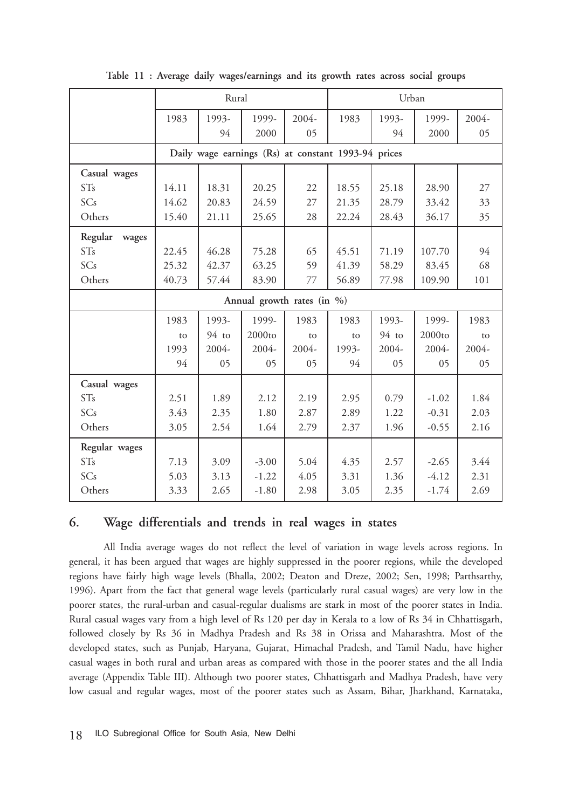|                  | Rural |         |                                                     |       |       | Urban   |         |       |
|------------------|-------|---------|-----------------------------------------------------|-------|-------|---------|---------|-------|
|                  | 1983  | 1993-   | 1999-                                               | 2004- | 1983  | 1993-   | 1999-   | 2004- |
|                  |       | 94      | 2000                                                | 05    |       | 94      | 2000    | 05    |
|                  |       |         | Daily wage earnings (Rs) at constant 1993-94 prices |       |       |         |         |       |
| Casual wages     |       |         |                                                     |       |       |         |         |       |
| <b>STs</b>       | 14.11 | 18.31   | 20.25                                               | 22    | 18.55 | 25.18   | 28.90   | 27    |
| SCs              | 14.62 | 20.83   | 24.59                                               | 27    | 21.35 | 28.79   | 33.42   | 33    |
| Others           | 15.40 | 21.11   | 25.65                                               | 28    | 22.24 | 28.43   | 36.17   | 35    |
| Regular<br>wages |       |         |                                                     |       |       |         |         |       |
| STs              | 22.45 | 46.28   | 75.28                                               | 65    | 45.51 | 71.19   | 107.70  | 94    |
| SCs              | 25.32 | 42.37   | 63.25                                               | 59    | 41.39 | 58.29   | 83.45   | 68    |
| Others           | 40.73 | 57.44   | 83.90                                               | 77    | 56.89 | 77.98   | 109.90  | 101   |
|                  |       |         | Annual growth rates (in %)                          |       |       |         |         |       |
|                  | 1983  | 1993-   | 1999-                                               | 1983  | 1983  | 1993-   | 1999-   | 1983  |
|                  | to    | $94$ to | 2000to                                              | to    | to    | $94$ to | 2000to  | to    |
|                  | 1993  | 2004-   | 2004-                                               | 2004- | 1993- | 2004-   | 2004-   | 2004- |
|                  | 94    | 05      | 05                                                  | 05    | 94    | 05      | 05      | 05    |
| Casual wages     |       |         |                                                     |       |       |         |         |       |
| <b>STs</b>       | 2.51  | 1.89    | 2.12                                                | 2.19  | 2.95  | 0.79    | $-1.02$ | 1.84  |
| SCs              | 3.43  | 2.35    | 1.80                                                | 2.87  | 2.89  | 1.22    | $-0.31$ | 2.03  |
| Others           | 3.05  | 2.54    | 1.64                                                | 2.79  | 2.37  | 1.96    | $-0.55$ | 2.16  |
| Regular wages    |       |         |                                                     |       |       |         |         |       |
| ST <sub>s</sub>  | 7.13  | 3.09    | $-3.00$                                             | 5.04  | 4.35  | 2.57    | $-2.65$ | 3.44  |
| SCs              | 5.03  | 3.13    | $-1.22$                                             | 4.05  | 3.31  | 1.36    | $-4.12$ | 2.31  |
| Others           | 3.33  | 2.65    | $-1.80$                                             | 2.98  | 3.05  | 2.35    | $-1.74$ | 2.69  |

**Table 11 : Average daily wages/earnings and its growth rates across social groups**

# **6. Wage differentials and trends in real wages in states**

All India average wages do not reflect the level of variation in wage levels across regions. In general, it has been argued that wages are highly suppressed in the poorer regions, while the developed regions have fairly high wage levels (Bhalla, 2002; Deaton and Dreze, 2002; Sen, 1998; Parthsarthy, 1996). Apart from the fact that general wage levels (particularly rural casual wages) are very low in the poorer states, the rural-urban and casual-regular dualisms are stark in most of the poorer states in India. Rural casual wages vary from a high level of Rs 120 per day in Kerala to a low of Rs 34 in Chhattisgarh, followed closely by Rs 36 in Madhya Pradesh and Rs 38 in Orissa and Maharashtra. Most of the developed states, such as Punjab, Haryana, Gujarat, Himachal Pradesh, and Tamil Nadu, have higher casual wages in both rural and urban areas as compared with those in the poorer states and the all India average (Appendix Table III). Although two poorer states, Chhattisgarh and Madhya Pradesh, have very low casual and regular wages, most of the poorer states such as Assam, Bihar, Jharkhand, Karnataka,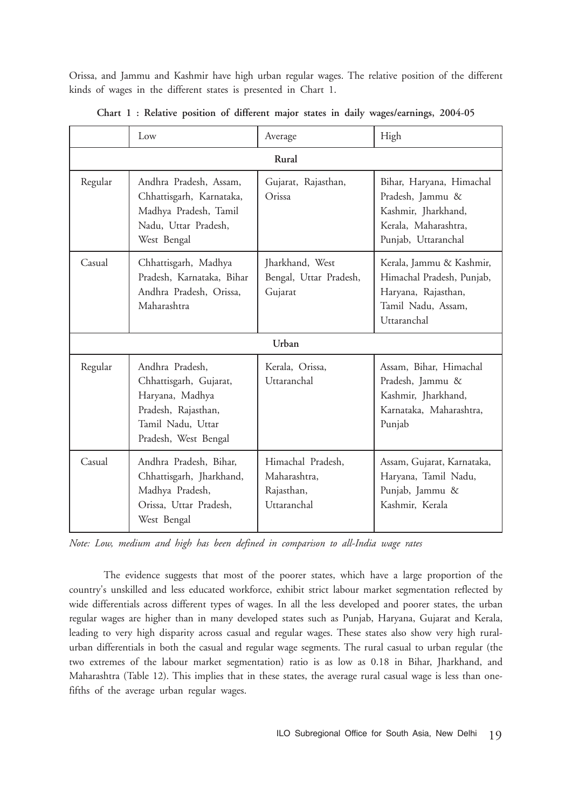Orissa, and Jammu and Kashmir have high urban regular wages. The relative position of the different kinds of wages in the different states is presented in Chart 1.

|         | Low                                                                                                                              | Average                                                        | High                                                                                                               |  |  |  |  |  |
|---------|----------------------------------------------------------------------------------------------------------------------------------|----------------------------------------------------------------|--------------------------------------------------------------------------------------------------------------------|--|--|--|--|--|
|         | Rural                                                                                                                            |                                                                |                                                                                                                    |  |  |  |  |  |
| Regular | Andhra Pradesh, Assam,<br>Chhattisgarh, Karnataka,<br>Madhya Pradesh, Tamil<br>Nadu, Uttar Pradesh,<br>West Bengal               | Gujarat, Rajasthan,<br>Orissa                                  | Bihar, Haryana, Himachal<br>Pradesh, Jammu &<br>Kashmir, Jharkhand,<br>Kerala, Maharashtra,<br>Punjab, Uttaranchal |  |  |  |  |  |
| Casual  | Chhattisgarh, Madhya<br>Pradesh, Karnataka, Bihar<br>Andhra Pradesh, Orissa,<br>Maharashtra                                      | Jharkhand, West<br>Bengal, Uttar Pradesh,<br>Gujarat           | Kerala, Jammu & Kashmir,<br>Himachal Pradesh, Punjab,<br>Haryana, Rajasthan,<br>Tamil Nadu, Assam,<br>Uttaranchal  |  |  |  |  |  |
|         |                                                                                                                                  | Urban                                                          |                                                                                                                    |  |  |  |  |  |
| Regular | Andhra Pradesh,<br>Chhattisgarh, Gujarat,<br>Haryana, Madhya<br>Pradesh, Rajasthan,<br>Tamil Nadu, Uttar<br>Pradesh, West Bengal | Kerala, Orissa,<br>Uttaranchal                                 | Assam, Bihar, Himachal<br>Pradesh, Jammu &<br>Kashmir, Jharkhand,<br>Karnataka, Maharashtra,<br>Punjab             |  |  |  |  |  |
| Casual  | Andhra Pradesh, Bihar,<br>Chhattisgarh, Jharkhand,<br>Madhya Pradesh,<br>Orissa, Uttar Pradesh,<br>West Bengal                   | Himachal Pradesh,<br>Maharashtra,<br>Rajasthan,<br>Uttaranchal | Assam, Gujarat, Karnataka,<br>Haryana, Tamil Nadu,<br>Punjab, Jammu &<br>Kashmir, Kerala                           |  |  |  |  |  |

**Chart 1 : Relative position of different major states in daily wages/earnings, 2004-05**

*Note: Low, medium and high has been defined in comparison to all-India wage rates*

The evidence suggests that most of the poorer states, which have a large proportion of the country's unskilled and less educated workforce, exhibit strict labour market segmentation reflected by wide differentials across different types of wages. In all the less developed and poorer states, the urban regular wages are higher than in many developed states such as Punjab, Haryana, Gujarat and Kerala, leading to very high disparity across casual and regular wages. These states also show very high ruralurban differentials in both the casual and regular wage segments. The rural casual to urban regular (the two extremes of the labour market segmentation) ratio is as low as 0.18 in Bihar, Jharkhand, and Maharashtra (Table 12). This implies that in these states, the average rural casual wage is less than onefifths of the average urban regular wages.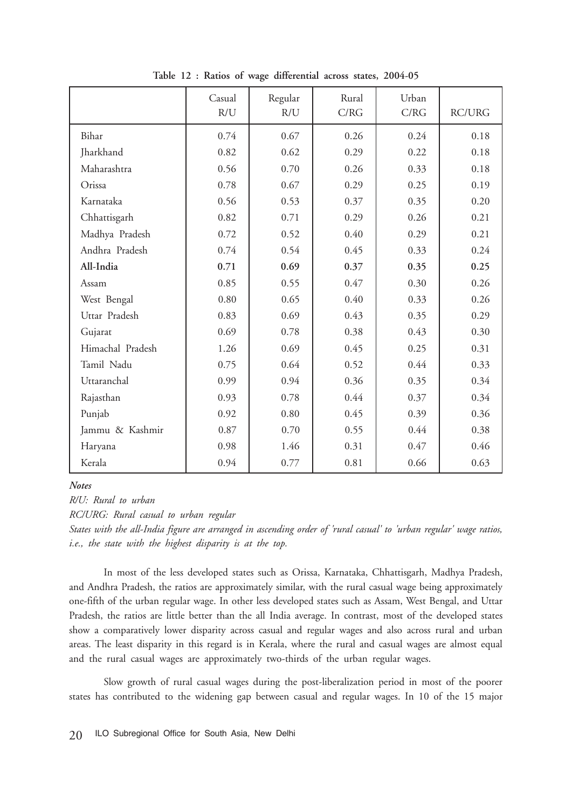|                  | Casual<br>R/U | Regular<br>R/U | Rural<br>C/RG | Urban<br>C/RG | <b>RC/URG</b> |
|------------------|---------------|----------------|---------------|---------------|---------------|
| Bihar            | 0.74          | 0.67           | 0.26          | 0.24          | 0.18          |
| Jharkhand        | 0.82          | 0.62           | 0.29          | 0.22          | 0.18          |
| Maharashtra      | 0.56          | 0.70           | 0.26          | 0.33          | 0.18          |
| Orissa           | 0.78          | 0.67           | 0.29          | 0.25          | 0.19          |
| Karnataka        | 0.56          | 0.53           | 0.37          | 0.35          | 0.20          |
| Chhattisgarh     | 0.82          | 0.71           | 0.29          | 0.26          | 0.21          |
| Madhya Pradesh   | 0.72          | 0.52           | 0.40          | 0.29          | 0.21          |
| Andhra Pradesh   | 0.74          | 0.54           | 0.45          | 0.33          | 0.24          |
| All-India        | 0.71          | 0.69           | 0.37          | 0.35          | 0.25          |
| Assam            | 0.85          | 0.55           | 0.47          | 0.30          | 0.26          |
| West Bengal      | 0.80          | 0.65           | 0.40          | 0.33          | 0.26          |
| Uttar Pradesh    | 0.83          | 0.69           | 0.43          | 0.35          | 0.29          |
| Gujarat          | 0.69          | 0.78           | 0.38          | 0.43          | 0.30          |
| Himachal Pradesh | 1.26          | 0.69           | 0.45          | 0.25          | 0.31          |
| Tamil Nadu       | 0.75          | 0.64           | 0.52          | 0.44          | 0.33          |
| Uttaranchal      | 0.99          | 0.94           | 0.36          | 0.35          | 0.34          |
| Rajasthan        | 0.93          | 0.78           | 0.44          | 0.37          | 0.34          |
| Punjab           | 0.92          | 0.80           | 0.45          | 0.39          | 0.36          |
| Jammu & Kashmir  | 0.87          | 0.70           | 0.55          | 0.44          | 0.38          |
| Haryana          | 0.98          | 1.46           | 0.31          | 0.47          | 0.46          |
| Kerala           | 0.94          | 0.77           | 0.81          | 0.66          | 0.63          |

**Table 12 : Ratios of wage differential across states, 2004-05**

#### *Notes*

*R/U: Rural to urban*

*RC/URG: Rural casual to urban regular*

*States with the all-India figure are arranged in ascending order of 'rural casual' to 'urban regular' wage ratios, i.e., the state with the highest disparity is at the top.*

In most of the less developed states such as Orissa, Karnataka, Chhattisgarh, Madhya Pradesh, and Andhra Pradesh, the ratios are approximately similar, with the rural casual wage being approximately one-fifth of the urban regular wage. In other less developed states such as Assam, West Bengal, and Uttar Pradesh, the ratios are little better than the all India average. In contrast, most of the developed states show a comparatively lower disparity across casual and regular wages and also across rural and urban areas. The least disparity in this regard is in Kerala, where the rural and casual wages are almost equal and the rural casual wages are approximately two-thirds of the urban regular wages.

Slow growth of rural casual wages during the post-liberalization period in most of the poorer states has contributed to the widening gap between casual and regular wages. In 10 of the 15 major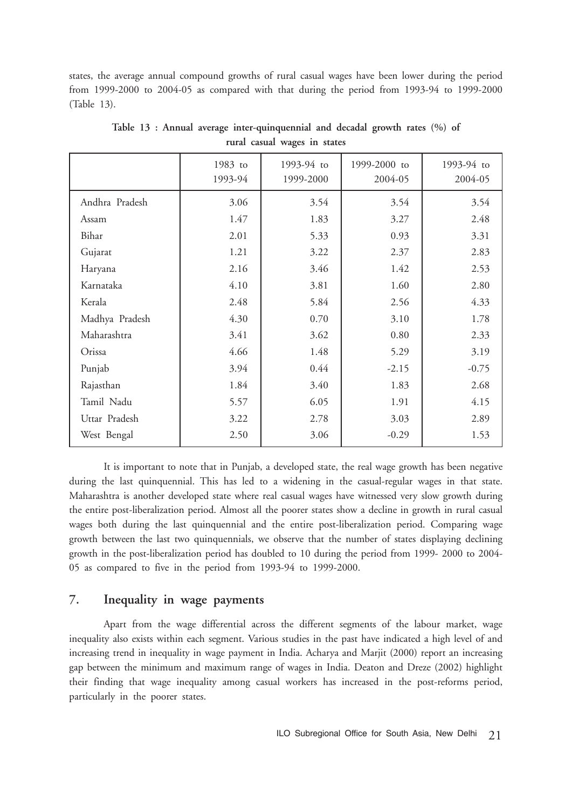states, the average annual compound growths of rural casual wages have been lower during the period from 1999-2000 to 2004-05 as compared with that during the period from 1993-94 to 1999-2000 (Table 13).

|                | 1983 to<br>1993-94 | 1993-94 to<br>1999-2000 | 1999-2000 to<br>2004-05 | 1993-94 to<br>2004-05 |
|----------------|--------------------|-------------------------|-------------------------|-----------------------|
| Andhra Pradesh | 3.06               | 3.54                    | 3.54                    | 3.54                  |
| Assam          | 1.47               | 1.83                    | 3.27                    | 2.48                  |
| Bihar          | 2.01               | 5.33                    | 0.93                    | 3.31                  |
| Gujarat        | 1.21               | 3.22                    | 2.37                    | 2.83                  |
| Haryana        | 2.16               | 3.46                    | 1.42                    | 2.53                  |
| Karnataka      | 4.10               | 3.81                    | 1.60                    | 2.80                  |
| Kerala         | 2.48               | 5.84                    | 2.56                    | 4.33                  |
| Madhya Pradesh | 4.30               | 0.70                    | 3.10                    | 1.78                  |
| Maharashtra    | 3.41               | 3.62                    | 0.80                    | 2.33                  |
| Orissa         | 4.66               | 1.48                    | 5.29                    | 3.19                  |
| Punjab         | 3.94               | 0.44                    | $-2.15$                 | $-0.75$               |
| Rajasthan      | 1.84               | 3.40                    | 1.83                    | 2.68                  |
| Tamil Nadu     | 5.57               | 6.05                    | 1.91                    | 4.15                  |
| Uttar Pradesh  | 3.22               | 2.78                    | 3.03                    | 2.89                  |
| West Bengal    | 2.50               | 3.06                    | $-0.29$                 | 1.53                  |

**Table 13 : Annual average inter-quinquennial and decadal growth rates (%) of rural casual wages in states**

It is important to note that in Punjab, a developed state, the real wage growth has been negative during the last quinquennial. This has led to a widening in the casual-regular wages in that state. Maharashtra is another developed state where real casual wages have witnessed very slow growth during the entire post-liberalization period. Almost all the poorer states show a decline in growth in rural casual wages both during the last quinquennial and the entire post-liberalization period. Comparing wage growth between the last two quinquennials, we observe that the number of states displaying declining growth in the post-liberalization period has doubled to 10 during the period from 1999- 2000 to 2004- 05 as compared to five in the period from 1993-94 to 1999-2000.

## **7. Inequality in wage payments**

Apart from the wage differential across the different segments of the labour market, wage inequality also exists within each segment. Various studies in the past have indicated a high level of and increasing trend in inequality in wage payment in India. Acharya and Marjit (2000) report an increasing gap between the minimum and maximum range of wages in India. Deaton and Dreze (2002) highlight their finding that wage inequality among casual workers has increased in the post-reforms period, particularly in the poorer states.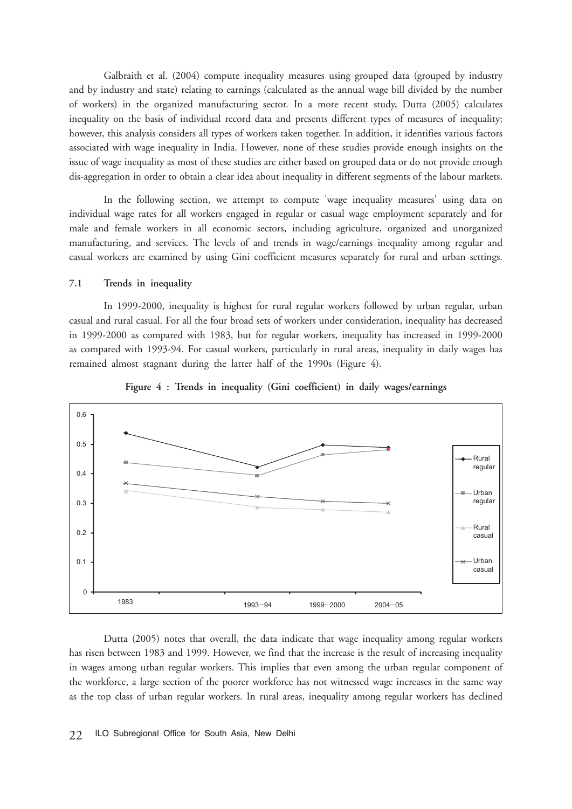Galbraith et al. (2004) compute inequality measures using grouped data (grouped by industry and by industry and state) relating to earnings (calculated as the annual wage bill divided by the number of workers) in the organized manufacturing sector. In a more recent study, Dutta (2005) calculates inequality on the basis of individual record data and presents different types of measures of inequality; however, this analysis considers all types of workers taken together. In addition, it identifies various factors associated with wage inequality in India. However, none of these studies provide enough insights on the issue of wage inequality as most of these studies are either based on grouped data or do not provide enough dis-aggregation in order to obtain a clear idea about inequality in different segments of the labour markets.

In the following section, we attempt to compute 'wage inequality measures' using data on individual wage rates for all workers engaged in regular or casual wage employment separately and for male and female workers in all economic sectors, including agriculture, organized and unorganized manufacturing, and services. The levels of and trends in wage/earnings inequality among regular and casual workers are examined by using Gini coefficient measures separately for rural and urban settings.

#### **7.1 Trends in inequality**

In 1999-2000, inequality is highest for rural regular workers followed by urban regular, urban casual and rural casual. For all the four broad sets of workers under consideration, inequality has decreased in 1999-2000 as compared with 1983, but for regular workers, inequality has increased in 1999-2000 as compared with 1993-94. For casual workers, particularly in rural areas, inequality in daily wages has remained almost stagnant during the latter half of the 1990s (Figure 4).



**Figure 4 : Trends in inequality (Gini coefficient) in daily wages/earnings**

Dutta (2005) notes that overall, the data indicate that wage inequality among regular workers has risen between 1983 and 1999. However, we find that the increase is the result of increasing inequality in wages among urban regular workers. This implies that even among the urban regular component of the workforce, a large section of the poorer workforce has not witnessed wage increases in the same way as the top class of urban regular workers. In rural areas, inequality among regular workers has declined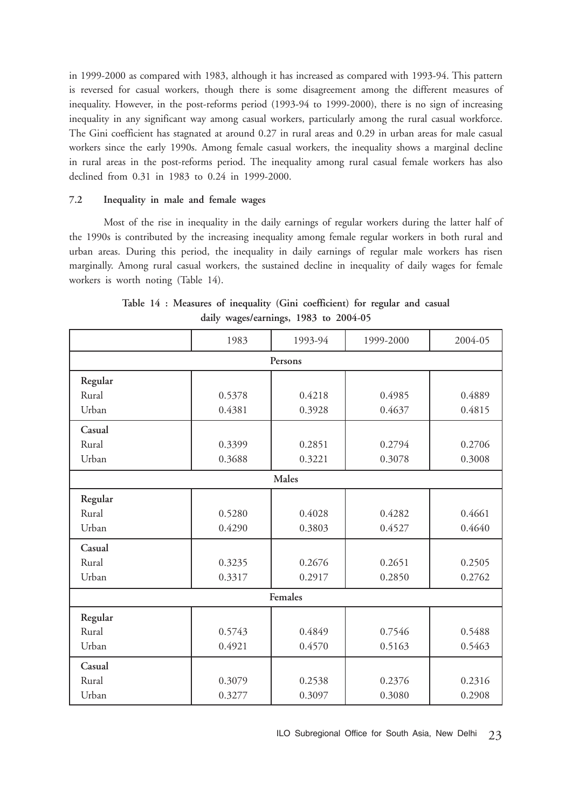in 1999-2000 as compared with 1983, although it has increased as compared with 1993-94. This pattern is reversed for casual workers, though there is some disagreement among the different measures of inequality. However, in the post-reforms period (1993-94 to 1999-2000), there is no sign of increasing inequality in any significant way among casual workers, particularly among the rural casual workforce. The Gini coefficient has stagnated at around 0.27 in rural areas and 0.29 in urban areas for male casual workers since the early 1990s. Among female casual workers, the inequality shows a marginal decline in rural areas in the post-reforms period. The inequality among rural casual female workers has also declined from 0.31 in 1983 to 0.24 in 1999-2000.

#### **7.2 Inequality in male and female wages**

Most of the rise in inequality in the daily earnings of regular workers during the latter half of the 1990s is contributed by the increasing inequality among female regular workers in both rural and urban areas. During this period, the inequality in daily earnings of regular male workers has risen marginally. Among rural casual workers, the sustained decline in inequality of daily wages for female workers is worth noting (Table 14).

|         | 1983   | 1993-94 | 1999-2000 | 2004-05 |  |  |  |  |  |
|---------|--------|---------|-----------|---------|--|--|--|--|--|
| Persons |        |         |           |         |  |  |  |  |  |
| Regular |        |         |           |         |  |  |  |  |  |
| Rural   | 0.5378 | 0.4218  | 0.4985    | 0.4889  |  |  |  |  |  |
| Urban   | 0.4381 | 0.3928  | 0.4637    | 0.4815  |  |  |  |  |  |
| Casual  |        |         |           |         |  |  |  |  |  |
| Rural   | 0.3399 | 0.2851  | 0.2794    | 0.2706  |  |  |  |  |  |
| Urban   | 0.3688 | 0.3221  | 0.3078    | 0.3008  |  |  |  |  |  |
|         | Males  |         |           |         |  |  |  |  |  |
| Regular |        |         |           |         |  |  |  |  |  |
| Rural   | 0.5280 | 0.4028  | 0.4282    | 0.4661  |  |  |  |  |  |
| Urban   | 0.4290 | 0.3803  | 0.4527    | 0.4640  |  |  |  |  |  |
| Casual  |        |         |           |         |  |  |  |  |  |
| Rural   | 0.3235 | 0.2676  | 0.2651    | 0.2505  |  |  |  |  |  |
| Urban   | 0.3317 | 0.2917  | 0.2850    | 0.2762  |  |  |  |  |  |
|         |        | Females |           |         |  |  |  |  |  |
| Regular |        |         |           |         |  |  |  |  |  |
| Rural   | 0.5743 | 0.4849  | 0.7546    | 0.5488  |  |  |  |  |  |
| Urban   | 0.4921 | 0.4570  | 0.5163    | 0.5463  |  |  |  |  |  |
| Casual  |        |         |           |         |  |  |  |  |  |
| Rural   | 0.3079 | 0.2538  | 0.2376    | 0.2316  |  |  |  |  |  |
| Urban   | 0.3277 | 0.3097  | 0.3080    | 0.2908  |  |  |  |  |  |

**Table 14 : Measures of inequality (Gini coefficient) for regular and casual daily wages/earnings, 1983 to 2004-05**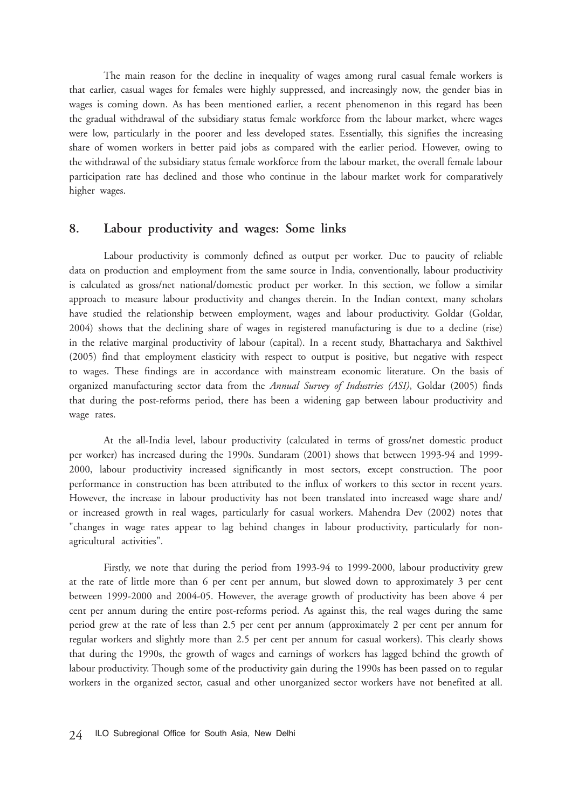The main reason for the decline in inequality of wages among rural casual female workers is that earlier, casual wages for females were highly suppressed, and increasingly now, the gender bias in wages is coming down. As has been mentioned earlier, a recent phenomenon in this regard has been the gradual withdrawal of the subsidiary status female workforce from the labour market, where wages were low, particularly in the poorer and less developed states. Essentially, this signifies the increasing share of women workers in better paid jobs as compared with the earlier period. However, owing to the withdrawal of the subsidiary status female workforce from the labour market, the overall female labour participation rate has declined and those who continue in the labour market work for comparatively higher wages.

# **8. Labour productivity and wages: Some links**

Labour productivity is commonly defined as output per worker. Due to paucity of reliable data on production and employment from the same source in India, conventionally, labour productivity is calculated as gross/net national/domestic product per worker. In this section, we follow a similar approach to measure labour productivity and changes therein. In the Indian context, many scholars have studied the relationship between employment, wages and labour productivity. Goldar (Goldar, 2004) shows that the declining share of wages in registered manufacturing is due to a decline (rise) in the relative marginal productivity of labour (capital). In a recent study, Bhattacharya and Sakthivel (2005) find that employment elasticity with respect to output is positive, but negative with respect to wages. These findings are in accordance with mainstream economic literature. On the basis of organized manufacturing sector data from the *Annual Survey of Industries (ASI)*, Goldar (2005) finds that during the post-reforms period, there has been a widening gap between labour productivity and wage rates.

At the all-India level, labour productivity (calculated in terms of gross/net domestic product per worker) has increased during the 1990s. Sundaram (2001) shows that between 1993-94 and 1999- 2000, labour productivity increased significantly in most sectors, except construction. The poor performance in construction has been attributed to the influx of workers to this sector in recent years. However, the increase in labour productivity has not been translated into increased wage share and/ or increased growth in real wages, particularly for casual workers. Mahendra Dev (2002) notes that "changes in wage rates appear to lag behind changes in labour productivity, particularly for nonagricultural activities".

Firstly, we note that during the period from 1993-94 to 1999-2000, labour productivity grew at the rate of little more than 6 per cent per annum, but slowed down to approximately 3 per cent between 1999-2000 and 2004-05. However, the average growth of productivity has been above 4 per cent per annum during the entire post-reforms period. As against this, the real wages during the same period grew at the rate of less than 2.5 per cent per annum (approximately 2 per cent per annum for regular workers and slightly more than 2.5 per cent per annum for casual workers). This clearly shows that during the 1990s, the growth of wages and earnings of workers has lagged behind the growth of labour productivity. Though some of the productivity gain during the 1990s has been passed on to regular workers in the organized sector, casual and other unorganized sector workers have not benefited at all.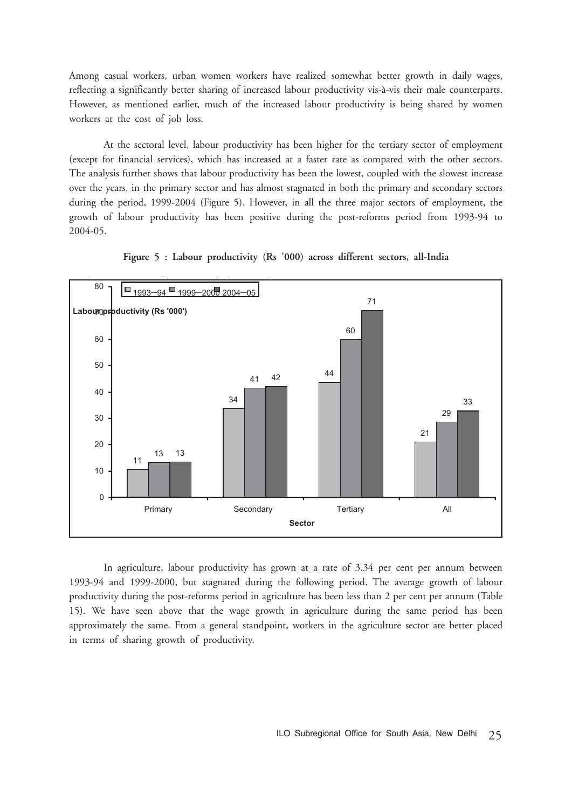Among casual workers, urban women workers have realized somewhat better growth in daily wages, reflecting a significantly better sharing of increased labour productivity vis-à-vis their male counterparts. However, as mentioned earlier, much of the increased labour productivity is being shared by women workers at the cost of job loss.

At the sectoral level, labour productivity has been higher for the tertiary sector of employment (except for financial services), which has increased at a faster rate as compared with the other sectors. The analysis further shows that labour productivity has been the lowest, coupled with the slowest increase over the years, in the primary sector and has almost stagnated in both the primary and secondary sectors during the period, 1999-2004 (Figure 5). However, in all the three major sectors of employment, the growth of labour productivity has been positive during the post-reforms period from 1993-94 to 2004-05.



**Figure 5 : Labour productivity (Rs '000) across different sectors, all-India**

In agriculture, labour productivity has grown at a rate of 3.34 per cent per annum between 1993-94 and 1999-2000, but stagnated during the following period. The average growth of labour productivity during the post-reforms period in agriculture has been less than 2 per cent per annum (Table 15). We have seen above that the wage growth in agriculture during the same period has been approximately the same. From a general standpoint, workers in the agriculture sector are better placed in terms of sharing growth of productivity.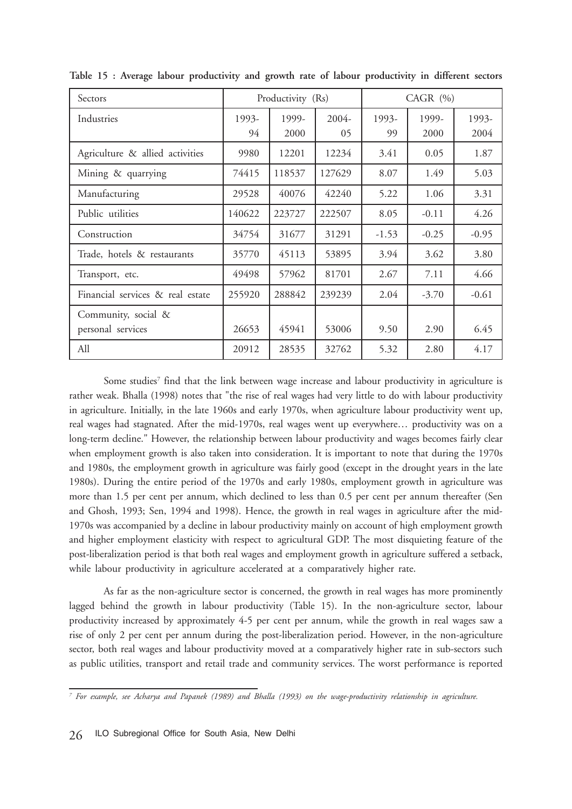| Sectors                                  |             | Productivity (Rs) |             | $CAGR$ $(%)$ |               |               |
|------------------------------------------|-------------|-------------------|-------------|--------------|---------------|---------------|
| Industries                               | 1993-<br>94 | 1999-<br>2000     | 2004-<br>05 | 1993-<br>99  | 1999-<br>2000 | 1993-<br>2004 |
| Agriculture & allied activities          | 9980        | 12201             | 12234       | 3.41         | 0.05          | 1.87          |
| Mining & quarrying                       | 74415       | 118537            | 127629      | 8.07         | 1.49          | 5.03          |
| Manufacturing                            | 29528       | 40076             | 42240       | 5.22         | 1.06          | 3.31          |
| Public utilities                         | 140622      | 223727            | 222507      | 8.05         | $-0.11$       | 4.26          |
| Construction                             | 34754       | 31677             | 31291       | $-1.53$      | $-0.25$       | $-0.95$       |
| Trade, hotels & restaurants              | 35770       | 45113             | 53895       | 3.94         | 3.62          | 3.80          |
| Transport, etc.                          | 49498       | 57962             | 81701       | 2.67         | 7.11          | 4.66          |
| Financial services & real estate         | 255920      | 288842            | 239239      | 2.04         | $-3.70$       | $-0.61$       |
| Community, social &<br>personal services | 26653       | 45941             | 53006       | 9.50         | 2.90          | 6.45          |
| All                                      | 20912       | 28535             | 32762       | 5.32         | 2.80          | 4.17          |

**Table 15 : Average labour productivity and growth rate of labour productivity in different sectors**

Some studies<sup>7</sup> find that the link between wage increase and labour productivity in agriculture is rather weak. Bhalla (1998) notes that "the rise of real wages had very little to do with labour productivity in agriculture. Initially, in the late 1960s and early 1970s, when agriculture labour productivity went up, real wages had stagnated. After the mid-1970s, real wages went up everywhere… productivity was on a long-term decline." However, the relationship between labour productivity and wages becomes fairly clear when employment growth is also taken into consideration. It is important to note that during the 1970s and 1980s, the employment growth in agriculture was fairly good (except in the drought years in the late 1980s). During the entire period of the 1970s and early 1980s, employment growth in agriculture was more than 1.5 per cent per annum, which declined to less than 0.5 per cent per annum thereafter (Sen and Ghosh, 1993; Sen, 1994 and 1998). Hence, the growth in real wages in agriculture after the mid-1970s was accompanied by a decline in labour productivity mainly on account of high employment growth and higher employment elasticity with respect to agricultural GDP. The most disquieting feature of the post-liberalization period is that both real wages and employment growth in agriculture suffered a setback, while labour productivity in agriculture accelerated at a comparatively higher rate.

As far as the non-agriculture sector is concerned, the growth in real wages has more prominently lagged behind the growth in labour productivity (Table 15). In the non-agriculture sector, labour productivity increased by approximately 4-5 per cent per annum, while the growth in real wages saw a rise of only 2 per cent per annum during the post-liberalization period. However, in the non-agriculture sector, both real wages and labour productivity moved at a comparatively higher rate in sub-sectors such as public utilities, transport and retail trade and community services. The worst performance is reported

*<sup>7</sup> For example, see Acharya and Papanek (1989) and Bhalla (1993) on the wage-productivity relationship in agriculture.*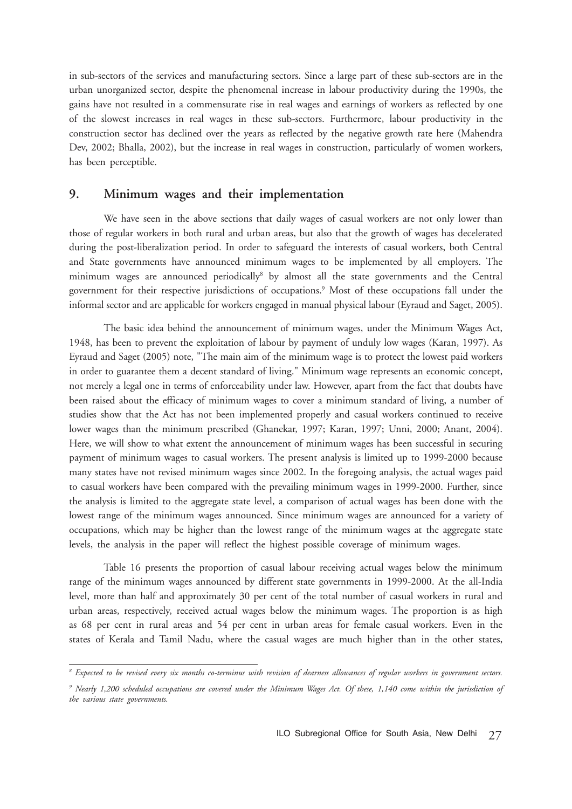in sub-sectors of the services and manufacturing sectors. Since a large part of these sub-sectors are in the urban unorganized sector, despite the phenomenal increase in labour productivity during the 1990s, the gains have not resulted in a commensurate rise in real wages and earnings of workers as reflected by one of the slowest increases in real wages in these sub-sectors. Furthermore, labour productivity in the construction sector has declined over the years as reflected by the negative growth rate here (Mahendra Dev, 2002; Bhalla, 2002), but the increase in real wages in construction, particularly of women workers, has been perceptible.

## **9. Minimum wages and their implementation**

We have seen in the above sections that daily wages of casual workers are not only lower than those of regular workers in both rural and urban areas, but also that the growth of wages has decelerated during the post-liberalization period. In order to safeguard the interests of casual workers, both Central and State governments have announced minimum wages to be implemented by all employers. The minimum wages are announced periodically<sup>8</sup> by almost all the state governments and the Central government for their respective jurisdictions of occupations.9 Most of these occupations fall under the informal sector and are applicable for workers engaged in manual physical labour (Eyraud and Saget, 2005).

The basic idea behind the announcement of minimum wages, under the Minimum Wages Act, 1948, has been to prevent the exploitation of labour by payment of unduly low wages (Karan, 1997). As Eyraud and Saget (2005) note, "The main aim of the minimum wage is to protect the lowest paid workers in order to guarantee them a decent standard of living." Minimum wage represents an economic concept, not merely a legal one in terms of enforceability under law. However, apart from the fact that doubts have been raised about the efficacy of minimum wages to cover a minimum standard of living, a number of studies show that the Act has not been implemented properly and casual workers continued to receive lower wages than the minimum prescribed (Ghanekar, 1997; Karan, 1997; Unni, 2000; Anant, 2004). Here, we will show to what extent the announcement of minimum wages has been successful in securing payment of minimum wages to casual workers. The present analysis is limited up to 1999-2000 because many states have not revised minimum wages since 2002. In the foregoing analysis, the actual wages paid to casual workers have been compared with the prevailing minimum wages in 1999-2000. Further, since the analysis is limited to the aggregate state level, a comparison of actual wages has been done with the lowest range of the minimum wages announced. Since minimum wages are announced for a variety of occupations, which may be higher than the lowest range of the minimum wages at the aggregate state levels, the analysis in the paper will reflect the highest possible coverage of minimum wages.

Table 16 presents the proportion of casual labour receiving actual wages below the minimum range of the minimum wages announced by different state governments in 1999-2000. At the all-India level, more than half and approximately 30 per cent of the total number of casual workers in rural and urban areas, respectively, received actual wages below the minimum wages. The proportion is as high as 68 per cent in rural areas and 54 per cent in urban areas for female casual workers. Even in the states of Kerala and Tamil Nadu, where the casual wages are much higher than in the other states,

*<sup>8</sup> Expected to be revised every six months co-terminus with revision of dearness allowances of regular workers in government sectors.*

<sup>&</sup>lt;sup>9</sup> Nearly 1,200 scheduled occupations are covered under the Minimum Wages Act. Of these, 1,140 come within the jurisdiction of *the various state governments.*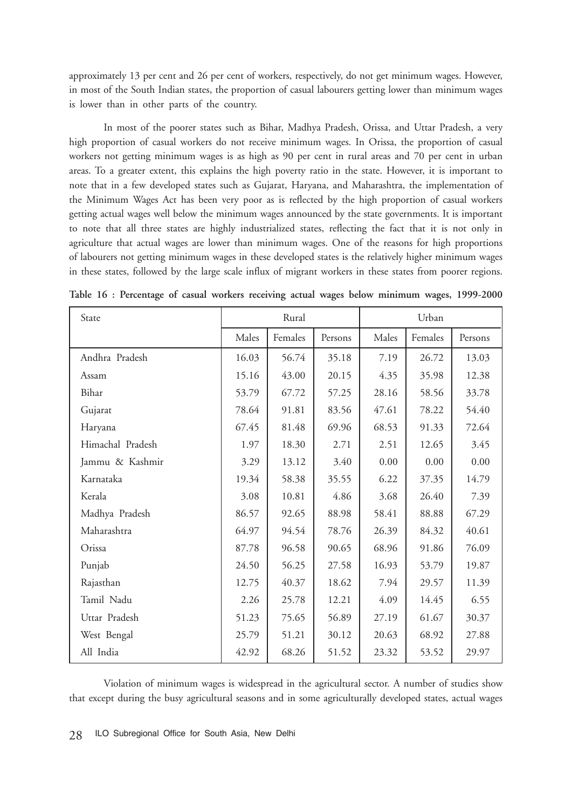approximately 13 per cent and 26 per cent of workers, respectively, do not get minimum wages. However, in most of the South Indian states, the proportion of casual labourers getting lower than minimum wages is lower than in other parts of the country.

In most of the poorer states such as Bihar, Madhya Pradesh, Orissa, and Uttar Pradesh, a very high proportion of casual workers do not receive minimum wages. In Orissa, the proportion of casual workers not getting minimum wages is as high as 90 per cent in rural areas and 70 per cent in urban areas. To a greater extent, this explains the high poverty ratio in the state. However, it is important to note that in a few developed states such as Gujarat, Haryana, and Maharashtra, the implementation of the Minimum Wages Act has been very poor as is reflected by the high proportion of casual workers getting actual wages well below the minimum wages announced by the state governments. It is important to note that all three states are highly industrialized states, reflecting the fact that it is not only in agriculture that actual wages are lower than minimum wages. One of the reasons for high proportions of labourers not getting minimum wages in these developed states is the relatively higher minimum wages in these states, followed by the large scale influx of migrant workers in these states from poorer regions.

| State            | Rural |         |         | Urban    |         |         |  |
|------------------|-------|---------|---------|----------|---------|---------|--|
|                  | Males | Females | Persons | Males    | Females | Persons |  |
| Andhra Pradesh   | 16.03 | 56.74   | 35.18   | 7.19     | 26.72   | 13.03   |  |
| Assam            | 15.16 | 43.00   | 20.15   | 4.35     | 35.98   | 12.38   |  |
| Bihar            | 53.79 | 67.72   | 57.25   | 28.16    | 58.56   | 33.78   |  |
| Gujarat          | 78.64 | 91.81   | 83.56   | 47.61    | 78.22   | 54.40   |  |
| Haryana          | 67.45 | 81.48   | 69.96   | 68.53    | 91.33   | 72.64   |  |
| Himachal Pradesh | 1.97  | 18.30   | 2.71    | 2.51     | 12.65   | 3.45    |  |
| Jammu & Kashmir  | 3.29  | 13.12   | 3.40    | $0.00\,$ | 0.00    | 0.00    |  |
| Karnataka        | 19.34 | 58.38   | 35.55   | 6.22     | 37.35   | 14.79   |  |
| Kerala           | 3.08  | 10.81   | 4.86    | 3.68     | 26.40   | 7.39    |  |
| Madhya Pradesh   | 86.57 | 92.65   | 88.98   | 58.41    | 88.88   | 67.29   |  |
| Maharashtra      | 64.97 | 94.54   | 78.76   | 26.39    | 84.32   | 40.61   |  |
| Orissa           | 87.78 | 96.58   | 90.65   | 68.96    | 91.86   | 76.09   |  |
| Punjab           | 24.50 | 56.25   | 27.58   | 16.93    | 53.79   | 19.87   |  |
| Rajasthan        | 12.75 | 40.37   | 18.62   | 7.94     | 29.57   | 11.39   |  |
| Tamil Nadu       | 2.26  | 25.78   | 12.21   | 4.09     | 14.45   | 6.55    |  |
| Uttar Pradesh    | 51.23 | 75.65   | 56.89   | 27.19    | 61.67   | 30.37   |  |
| West Bengal      | 25.79 | 51.21   | 30.12   | 20.63    | 68.92   | 27.88   |  |
| All India        | 42.92 | 68.26   | 51.52   | 23.32    | 53.52   | 29.97   |  |

**Table 16 : Percentage of casual workers receiving actual wages below minimum wages, 1999-2000**

Violation of minimum wages is widespread in the agricultural sector. A number of studies show that except during the busy agricultural seasons and in some agriculturally developed states, actual wages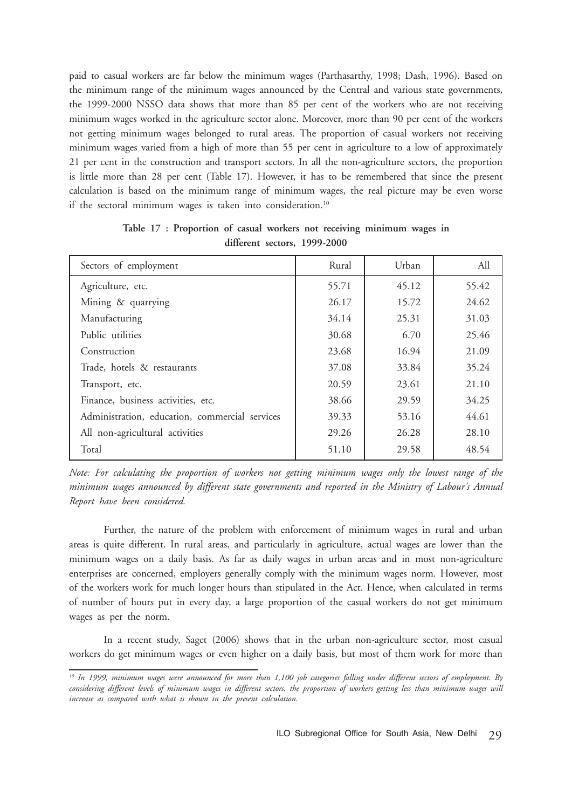paid to casual workers are far below the minimum wages (Parthasarthy, 1998; Dash, 1996). Based on the minimum range of the minimum wages announced by the Central and various state governments, the 1999-2000 NSSO data shows that more than 85 per cent of the workers who are not receiving minimum wages worked in the agriculture sector alone. Moreover, more than 90 per cent of the workers not getting minimum wages belonged to rural areas. The proportion of casual workers not receiving minimum wages varied from a high of more than 55 per cent in agriculture to a low of approximately 21 per cent in the construction and transport sectors. In all the non-agriculture sectors, the proportion is little more than 28 per cent (Table 17). However, it has to be remembered that since the present calculation is based on the minimum range of minimum wages, the real picture may be even worse if the sectoral minimum wages is taken into consideration.<sup>10</sup>

| Sectors of employment                          | Rural | Urban | All   |
|------------------------------------------------|-------|-------|-------|
| Agriculture, etc.                              | 55.71 | 45.12 | 55.42 |
| Mining & quarrying                             | 26.17 | 15.72 | 24.62 |
| Manufacturing                                  | 34.14 | 25.31 | 31.03 |
| Public utilities                               | 30.68 | 6.70  | 25.46 |
| Construction                                   | 23.68 | 16.94 | 21.09 |
| Trade, hotels & restaurants                    | 37.08 | 33.84 | 35.24 |
| Transport, etc.                                | 20.59 | 23.61 | 21.10 |
| Finance, business activities, etc.             | 38.66 | 29.59 | 34.25 |
| Administration, education, commercial services | 39.33 | 53.16 | 44.61 |
| All non-agricultural activities                | 29.26 | 26.28 | 28.10 |
| Total                                          | 51.10 | 29.58 | 48.54 |

**Table 17 : Proportion of casual workers not receiving minimum wages in different sectors, 1999-2000**

*Note: For calculating the proportion of workers not getting minimum wages only the lowest range of the minimum wages announced by different state governments and reported in the Ministry of Labour's Annual Report have been considered.*

Further, the nature of the problem with enforcement of minimum wages in rural and urban areas is quite different. In rural areas, and particularly in agriculture, actual wages are lower than the minimum wages on a daily basis. As far as daily wages in urban areas and in most non-agriculture enterprises are concerned, employers generally comply with the minimum wages norm. However, most of the workers work for much longer hours than stipulated in the Act. Hence, when calculated in terms of number of hours put in every day, a large proportion of the casual workers do not get minimum wages as per the norm.

In a recent study, Saget (2006) shows that in the urban non-agriculture sector, most casual workers do get minimum wages or even higher on a daily basis, but most of them work for more than

*<sup>10</sup> In 1999, minimum wages were announced for more than 1,100 job categories falling under different sectors of employment. By considering different levels of minimum wages in different sectors, the proportion of workers getting less than minimum wages will increase as compared with what is shown in the present calculation.*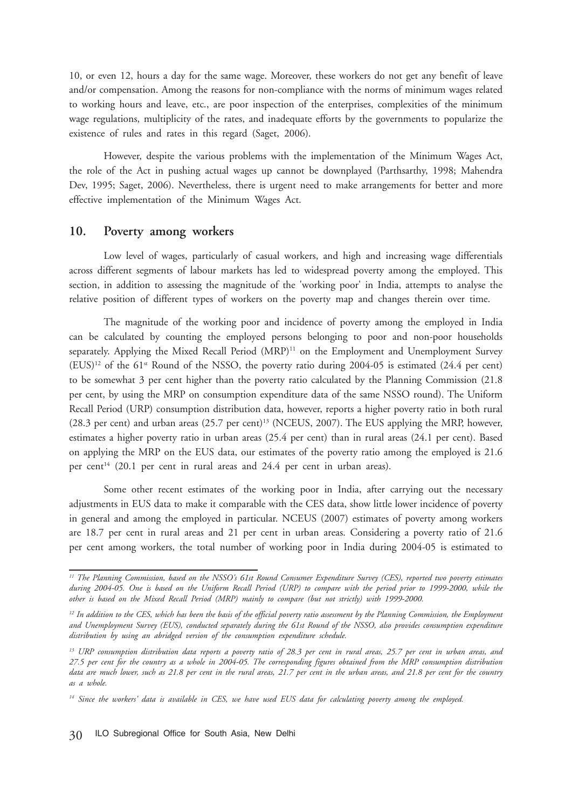10, or even 12, hours a day for the same wage. Moreover, these workers do not get any benefit of leave and/or compensation. Among the reasons for non-compliance with the norms of minimum wages related to working hours and leave, etc., are poor inspection of the enterprises, complexities of the minimum wage regulations, multiplicity of the rates, and inadequate efforts by the governments to popularize the existence of rules and rates in this regard (Saget, 2006).

However, despite the various problems with the implementation of the Minimum Wages Act, the role of the Act in pushing actual wages up cannot be downplayed (Parthsarthy, 1998; Mahendra Dev, 1995; Saget, 2006). Nevertheless, there is urgent need to make arrangements for better and more effective implementation of the Minimum Wages Act.

### **10. Poverty among workers**

Low level of wages, particularly of casual workers, and high and increasing wage differentials across different segments of labour markets has led to widespread poverty among the employed. This section, in addition to assessing the magnitude of the 'working poor' in India, attempts to analyse the relative position of different types of workers on the poverty map and changes therein over time.

The magnitude of the working poor and incidence of poverty among the employed in India can be calculated by counting the employed persons belonging to poor and non-poor households separately. Applying the Mixed Recall Period (MRP)<sup>11</sup> on the Employment and Unemployment Survey  $(EUS)^{12}$  of the 61<sup>st</sup> Round of the NSSO, the poverty ratio during 2004-05 is estimated (24.4 per cent) to be somewhat 3 per cent higher than the poverty ratio calculated by the Planning Commission (21.8 per cent, by using the MRP on consumption expenditure data of the same NSSO round). The Uniform Recall Period (URP) consumption distribution data, however, reports a higher poverty ratio in both rural (28.3 per cent) and urban areas (25.7 per cent)<sup>13</sup> (NCEUS, 2007). The EUS applying the MRP, however, estimates a higher poverty ratio in urban areas (25.4 per cent) than in rural areas (24.1 per cent). Based on applying the MRP on the EUS data, our estimates of the poverty ratio among the employed is 21.6 per cent<sup>14</sup> (20.1 per cent in rural areas and 24.4 per cent in urban areas).

Some other recent estimates of the working poor in India, after carrying out the necessary adjustments in EUS data to make it comparable with the CES data, show little lower incidence of poverty in general and among the employed in particular. NCEUS (2007) estimates of poverty among workers are 18.7 per cent in rural areas and 21 per cent in urban areas. Considering a poverty ratio of 21.6 per cent among workers, the total number of working poor in India during 2004-05 is estimated to

*<sup>11</sup> The Planning Commission, based on the NSSO's 61st Round Consumer Expenditure Survey (CES), reported two poverty estimates during 2004-05. One is based on the Uniform Recall Period (URP) to compare with the period prior to 1999-2000, while the other is based on the Mixed Recall Period (MRP) mainly to compare (but not strictly) with 1999-2000.*

*<sup>12</sup> In addition to the CES, which has been the basis of the official poverty ratio assessment by the Planning Commission, the Employment and Unemployment Survey (EUS), conducted separately during the 61st Round of the NSSO, also provides consumption expenditure distribution by using an abridged version of the consumption expenditure schedule.*

*<sup>13</sup> URP consumption distribution data reports a poverty ratio of 28.3 per cent in rural areas, 25.7 per cent in urban areas, and 27.5 per cent for the country as a whole in 2004-05. The corresponding figures obtained from the MRP consumption distribution data are much lower, such as 21.8 per cent in the rural areas, 21.7 per cent in the urban areas, and 21.8 per cent for the country as a whole.*

*<sup>14</sup> Since the workers' data is available in CES, we have used EUS data for calculating poverty among the employed.*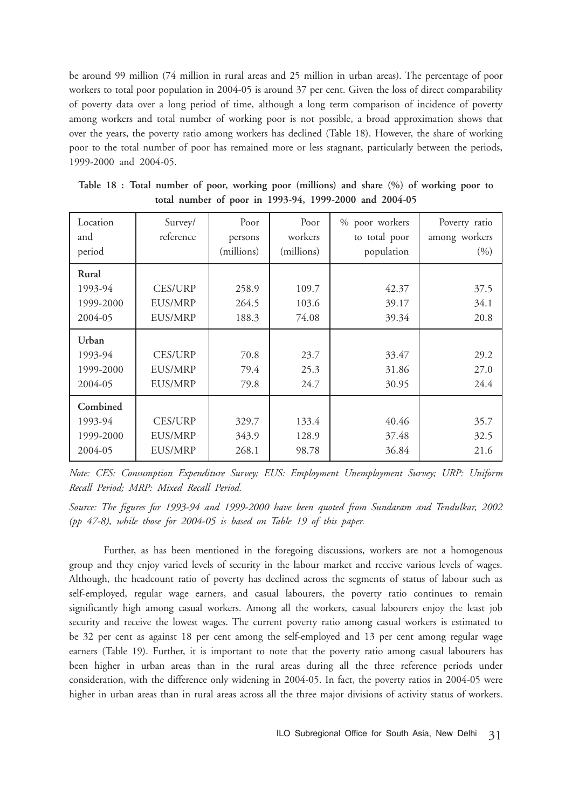be around 99 million (74 million in rural areas and 25 million in urban areas). The percentage of poor workers to total poor population in 2004-05 is around 37 per cent. Given the loss of direct comparability of poverty data over a long period of time, although a long term comparison of incidence of poverty among workers and total number of working poor is not possible, a broad approximation shows that over the years, the poverty ratio among workers has declined (Table 18). However, the share of working poor to the total number of poor has remained more or less stagnant, particularly between the periods, 1999-2000 and 2004-05.

| Location<br>and<br>period                   | Survey/<br>reference                               | Poor<br>persons<br>(millions) | Poor<br>workers<br>(millions) | % poor workers<br>to total poor<br>population | Poverty ratio<br>among workers<br>(9/0) |
|---------------------------------------------|----------------------------------------------------|-------------------------------|-------------------------------|-----------------------------------------------|-----------------------------------------|
| Rural<br>1993-94<br>1999-2000<br>2004-05    | <b>CES/URP</b><br><b>EUS/MRP</b><br>EUS/MRP        | 258.9<br>264.5<br>188.3       | 109.7<br>103.6<br>74.08       | 42.37<br>39.17<br>39.34                       | 37.5<br>34.1<br>20.8                    |
| Urban<br>1993-94<br>1999-2000<br>2004-05    | <b>CES/URP</b><br><b>EUS/MRP</b><br><b>EUS/MRP</b> | 70.8<br>79.4<br>79.8          | 23.7<br>25.3<br>24.7          | 33.47<br>31.86<br>30.95                       | 29.2<br>27.0<br>24.4                    |
| Combined<br>1993-94<br>1999-2000<br>2004-05 | <b>CES/URP</b><br><b>EUS/MRP</b><br><b>EUS/MRP</b> | 329.7<br>343.9<br>268.1       | 133.4<br>128.9<br>98.78       | 40.46<br>37.48<br>36.84                       | 35.7<br>32.5<br>21.6                    |

**Table 18 : Total number of poor, working poor (millions) and share (%) of working poor to total number of poor in 1993-94, 1999-2000 and 2004-05**

*Note: CES: Consumption Expenditure Survey; EUS: Employment Unemployment Survey; URP: Uniform Recall Period; MRP: Mixed Recall Period.*

*Source: The figures for 1993-94 and 1999-2000 have been quoted from Sundaram and Tendulkar, 2002 (pp 47-8), while those for 2004-05 is based on Table 19 of this paper.*

Further, as has been mentioned in the foregoing discussions, workers are not a homogenous group and they enjoy varied levels of security in the labour market and receive various levels of wages. Although, the headcount ratio of poverty has declined across the segments of status of labour such as self-employed, regular wage earners, and casual labourers, the poverty ratio continues to remain significantly high among casual workers. Among all the workers, casual labourers enjoy the least job security and receive the lowest wages. The current poverty ratio among casual workers is estimated to be 32 per cent as against 18 per cent among the self-employed and 13 per cent among regular wage earners (Table 19). Further, it is important to note that the poverty ratio among casual labourers has been higher in urban areas than in the rural areas during all the three reference periods under consideration, with the difference only widening in 2004-05. In fact, the poverty ratios in 2004-05 were higher in urban areas than in rural areas across all the three major divisions of activity status of workers.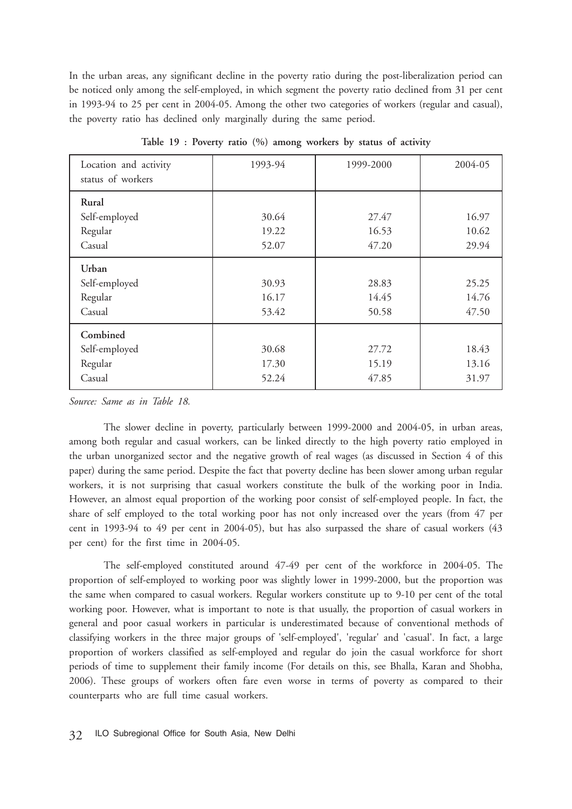In the urban areas, any significant decline in the poverty ratio during the post-liberalization period can be noticed only among the self-employed, in which segment the poverty ratio declined from 31 per cent in 1993-94 to 25 per cent in 2004-05. Among the other two categories of workers (regular and casual), the poverty ratio has declined only marginally during the same period.

| Location and activity<br>status of workers     | 1993-94                 | 1999-2000               | 2004-05                 |
|------------------------------------------------|-------------------------|-------------------------|-------------------------|
| Rural<br>Self-employed<br>Regular<br>Casual    | 30.64<br>19.22<br>52.07 | 27.47<br>16.53<br>47.20 | 16.97<br>10.62<br>29.94 |
| Urban<br>Self-employed<br>Regular<br>Casual    | 30.93<br>16.17<br>53.42 | 28.83<br>14.45<br>50.58 | 25.25<br>14.76<br>47.50 |
| Combined<br>Self-employed<br>Regular<br>Casual | 30.68<br>17.30<br>52.24 | 27.72<br>15.19<br>47.85 | 18.43<br>13.16<br>31.97 |

**Table 19 : Poverty ratio (%) among workers by status of activity**

*Source: Same as in Table 18.*

The slower decline in poverty, particularly between 1999-2000 and 2004-05, in urban areas, among both regular and casual workers, can be linked directly to the high poverty ratio employed in the urban unorganized sector and the negative growth of real wages (as discussed in Section 4 of this paper) during the same period. Despite the fact that poverty decline has been slower among urban regular workers, it is not surprising that casual workers constitute the bulk of the working poor in India. However, an almost equal proportion of the working poor consist of self-employed people. In fact, the share of self employed to the total working poor has not only increased over the years (from 47 per cent in 1993-94 to 49 per cent in 2004-05), but has also surpassed the share of casual workers (43 per cent) for the first time in 2004-05.

The self-employed constituted around 47-49 per cent of the workforce in 2004-05. The proportion of self-employed to working poor was slightly lower in 1999-2000, but the proportion was the same when compared to casual workers. Regular workers constitute up to 9-10 per cent of the total working poor. However, what is important to note is that usually, the proportion of casual workers in general and poor casual workers in particular is underestimated because of conventional methods of classifying workers in the three major groups of 'self-employed', 'regular' and 'casual'. In fact, a large proportion of workers classified as self-employed and regular do join the casual workforce for short periods of time to supplement their family income (For details on this, see Bhalla, Karan and Shobha, 2006). These groups of workers often fare even worse in terms of poverty as compared to their counterparts who are full time casual workers.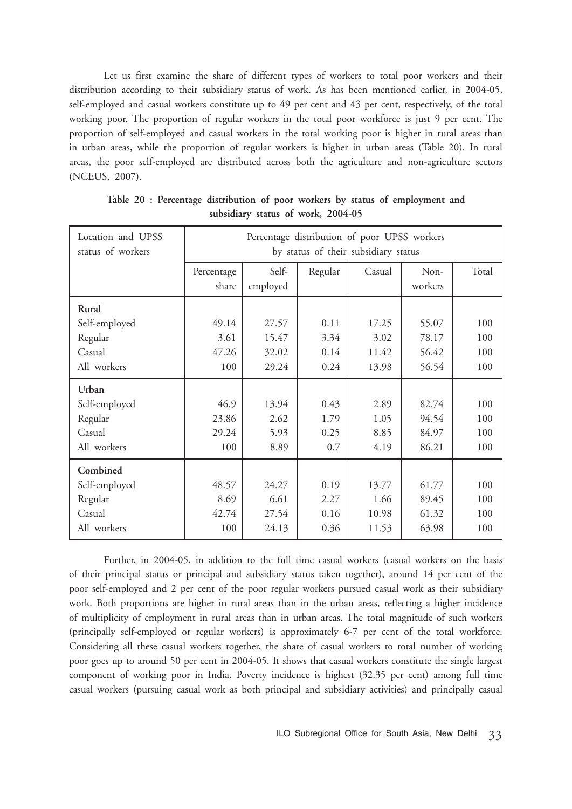Let us first examine the share of different types of workers to total poor workers and their distribution according to their subsidiary status of work. As has been mentioned earlier, in 2004-05, self-employed and casual workers constitute up to 49 per cent and 43 per cent, respectively, of the total working poor. The proportion of regular workers in the total poor workforce is just 9 per cent. The proportion of self-employed and casual workers in the total working poor is higher in rural areas than in urban areas, while the proportion of regular workers is higher in urban areas (Table 20). In rural areas, the poor self-employed are distributed across both the agriculture and non-agriculture sectors (NCEUS, 2007).

| Location and UPSS<br>status of workers |                     | Percentage distribution of poor UPSS workers<br>by status of their subsidiary status |         |        |                 |       |  |  |
|----------------------------------------|---------------------|--------------------------------------------------------------------------------------|---------|--------|-----------------|-------|--|--|
|                                        | Percentage<br>share | Self-<br>employed                                                                    | Regular | Casual | Non-<br>workers | Total |  |  |
| Rural                                  |                     |                                                                                      |         |        |                 |       |  |  |
| Self-employed                          | 49.14               | 27.57                                                                                | 0.11    | 17.25  | 55.07           | 100   |  |  |
| Regular                                | 3.61                | 15.47                                                                                | 3.34    | 3.02   | 78.17           | 100   |  |  |
| Casual                                 | 47.26               | 32.02                                                                                | 0.14    | 11.42  | 56.42           | 100   |  |  |
| All workers                            | 100                 | 29.24                                                                                | 0.24    | 13.98  | 56.54           | 100   |  |  |
| Urban                                  |                     |                                                                                      |         |        |                 |       |  |  |
| Self-employed                          | 46.9                | 13.94                                                                                | 0.43    | 2.89   | 82.74           | 100   |  |  |
| Regular                                | 23.86               | 2.62                                                                                 | 1.79    | 1.05   | 94.54           | 100   |  |  |
| Casual                                 | 29.24               | 5.93                                                                                 | 0.25    | 8.85   | 84.97           | 100   |  |  |
| All workers                            | 100                 | 8.89                                                                                 | 0.7     | 4.19   | 86.21           | 100   |  |  |
| Combined                               |                     |                                                                                      |         |        |                 |       |  |  |
| Self-employed                          | 48.57               | 24.27                                                                                | 0.19    | 13.77  | 61.77           | 100   |  |  |
| Regular                                | 8.69                | 6.61                                                                                 | 2.27    | 1.66   | 89.45           | 100   |  |  |
| Casual                                 | 42.74               | 27.54                                                                                | 0.16    | 10.98  | 61.32           | 100   |  |  |
| All workers                            | 100                 | 24.13                                                                                | 0.36    | 11.53  | 63.98           | 100   |  |  |

**Table 20 : Percentage distribution of poor workers by status of employment and subsidiary status of work, 2004-05**

Further, in 2004-05, in addition to the full time casual workers (casual workers on the basis of their principal status or principal and subsidiary status taken together), around 14 per cent of the poor self-employed and 2 per cent of the poor regular workers pursued casual work as their subsidiary work. Both proportions are higher in rural areas than in the urban areas, reflecting a higher incidence of multiplicity of employment in rural areas than in urban areas. The total magnitude of such workers (principally self-employed or regular workers) is approximately 6-7 per cent of the total workforce. Considering all these casual workers together, the share of casual workers to total number of working poor goes up to around 50 per cent in 2004-05. It shows that casual workers constitute the single largest component of working poor in India. Poverty incidence is highest (32.35 per cent) among full time casual workers (pursuing casual work as both principal and subsidiary activities) and principally casual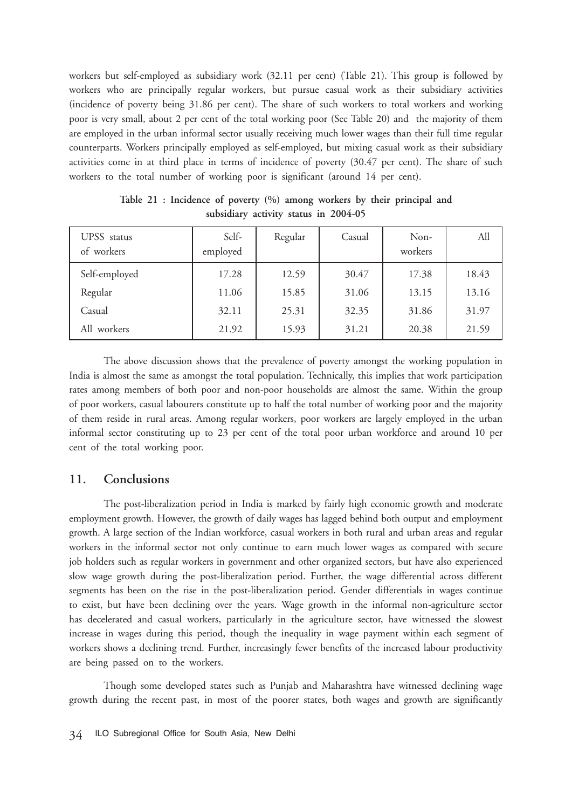workers but self-employed as subsidiary work (32.11 per cent) (Table 21). This group is followed by workers who are principally regular workers, but pursue casual work as their subsidiary activities (incidence of poverty being 31.86 per cent). The share of such workers to total workers and working poor is very small, about 2 per cent of the total working poor (See Table 20) and the majority of them are employed in the urban informal sector usually receiving much lower wages than their full time regular counterparts. Workers principally employed as self-employed, but mixing casual work as their subsidiary activities come in at third place in terms of incidence of poverty (30.47 per cent). The share of such workers to the total number of working poor is significant (around 14 per cent).

| UPSS status<br>of workers | Self-<br>employed | Regular | Casual | Non-<br>workers | All   |
|---------------------------|-------------------|---------|--------|-----------------|-------|
| Self-employed             | 17.28             | 12.59   | 30.47  | 17.38           | 18.43 |
| Regular                   | 11.06             | 15.85   | 31.06  | 13.15           | 13.16 |
| Casual                    | 32.11             | 25.31   | 32.35  | 31.86           | 31.97 |
| All workers               | 21.92             | 15.93   | 31.21  | 20.38           | 21.59 |

**Table 21 : Incidence of poverty (%) among workers by their principal and subsidiary activity status in 2004-05**

The above discussion shows that the prevalence of poverty amongst the working population in India is almost the same as amongst the total population. Technically, this implies that work participation rates among members of both poor and non-poor households are almost the same. Within the group of poor workers, casual labourers constitute up to half the total number of working poor and the majority of them reside in rural areas. Among regular workers, poor workers are largely employed in the urban informal sector constituting up to 23 per cent of the total poor urban workforce and around 10 per cent of the total working poor.

### **11. Conclusions**

The post-liberalization period in India is marked by fairly high economic growth and moderate employment growth. However, the growth of daily wages has lagged behind both output and employment growth. A large section of the Indian workforce, casual workers in both rural and urban areas and regular workers in the informal sector not only continue to earn much lower wages as compared with secure job holders such as regular workers in government and other organized sectors, but have also experienced slow wage growth during the post-liberalization period. Further, the wage differential across different segments has been on the rise in the post-liberalization period. Gender differentials in wages continue to exist, but have been declining over the years. Wage growth in the informal non-agriculture sector has decelerated and casual workers, particularly in the agriculture sector, have witnessed the slowest increase in wages during this period, though the inequality in wage payment within each segment of workers shows a declining trend. Further, increasingly fewer benefits of the increased labour productivity are being passed on to the workers.

Though some developed states such as Punjab and Maharashtra have witnessed declining wage growth during the recent past, in most of the poorer states, both wages and growth are significantly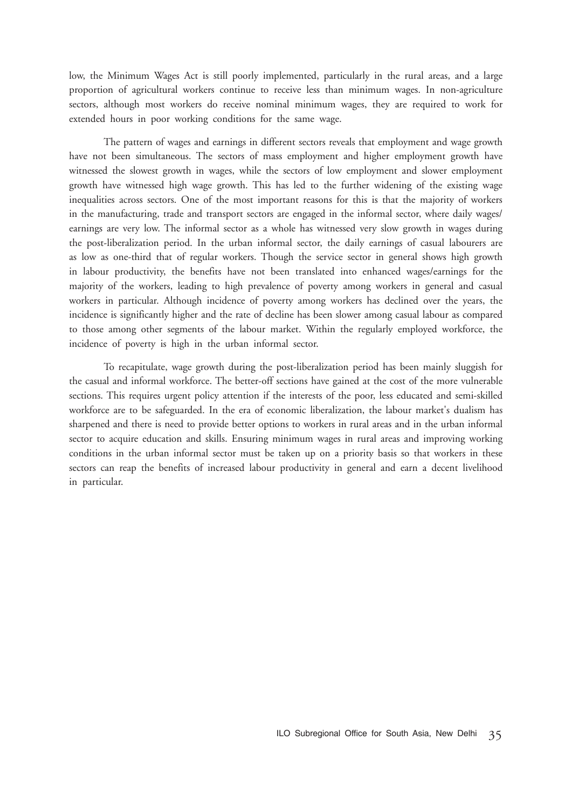low, the Minimum Wages Act is still poorly implemented, particularly in the rural areas, and a large proportion of agricultural workers continue to receive less than minimum wages. In non-agriculture sectors, although most workers do receive nominal minimum wages, they are required to work for extended hours in poor working conditions for the same wage.

The pattern of wages and earnings in different sectors reveals that employment and wage growth have not been simultaneous. The sectors of mass employment and higher employment growth have witnessed the slowest growth in wages, while the sectors of low employment and slower employment growth have witnessed high wage growth. This has led to the further widening of the existing wage inequalities across sectors. One of the most important reasons for this is that the majority of workers in the manufacturing, trade and transport sectors are engaged in the informal sector, where daily wages/ earnings are very low. The informal sector as a whole has witnessed very slow growth in wages during the post-liberalization period. In the urban informal sector, the daily earnings of casual labourers are as low as one-third that of regular workers. Though the service sector in general shows high growth in labour productivity, the benefits have not been translated into enhanced wages/earnings for the majority of the workers, leading to high prevalence of poverty among workers in general and casual workers in particular. Although incidence of poverty among workers has declined over the years, the incidence is significantly higher and the rate of decline has been slower among casual labour as compared to those among other segments of the labour market. Within the regularly employed workforce, the incidence of poverty is high in the urban informal sector.

To recapitulate, wage growth during the post-liberalization period has been mainly sluggish for the casual and informal workforce. The better-off sections have gained at the cost of the more vulnerable sections. This requires urgent policy attention if the interests of the poor, less educated and semi-skilled workforce are to be safeguarded. In the era of economic liberalization, the labour market's dualism has sharpened and there is need to provide better options to workers in rural areas and in the urban informal sector to acquire education and skills. Ensuring minimum wages in rural areas and improving working conditions in the urban informal sector must be taken up on a priority basis so that workers in these sectors can reap the benefits of increased labour productivity in general and earn a decent livelihood in particular.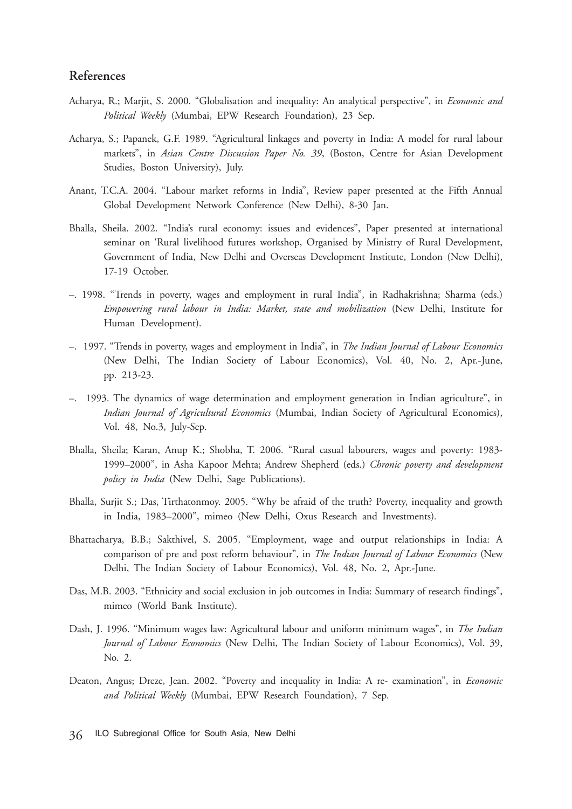# **References**

- Acharya, R.; Marjit, S. 2000. "Globalisation and inequality: An analytical perspective", in *Economic and Political Weekly* (Mumbai, EPW Research Foundation), 23 Sep.
- Acharya, S.; Papanek, G.F. 1989. "Agricultural linkages and poverty in India: A model for rural labour markets", in *Asian Centre Discussion Paper No. 39*, (Boston, Centre for Asian Development Studies, Boston University), July.
- Anant, T.C.A. 2004. "Labour market reforms in India", Review paper presented at the Fifth Annual Global Development Network Conference (New Delhi), 8-30 Jan.
- Bhalla, Sheila. 2002. "India's rural economy: issues and evidences", Paper presented at international seminar on 'Rural livelihood futures workshop, Organised by Ministry of Rural Development, Government of India, New Delhi and Overseas Development Institute, London (New Delhi), 17-19 October.
- –. 1998. "Trends in poverty, wages and employment in rural India", in Radhakrishna; Sharma (eds.) *Empowering rural labour in India: Market, state and mobilization* (New Delhi, Institute for Human Development).
- –. 1997. "Trends in poverty, wages and employment in India", in *The Indian Journal of Labour Economics* (New Delhi, The Indian Society of Labour Economics), Vol. 40, No. 2, Apr.-June, pp. 213-23.
- –. 1993. The dynamics of wage determination and employment generation in Indian agriculture", in *Indian Journal of Agricultural Economics* (Mumbai, Indian Society of Agricultural Economics), Vol. 48, No.3, July-Sep.
- Bhalla, Sheila; Karan, Anup K.; Shobha, T. 2006. "Rural casual labourers, wages and poverty: 1983- 1999–2000", in Asha Kapoor Mehta; Andrew Shepherd (eds.) *Chronic poverty and development policy in India* (New Delhi, Sage Publications).
- Bhalla, Surjit S.; Das, Tirthatonmoy. 2005. "Why be afraid of the truth? Poverty, inequality and growth in India, 1983–2000", mimeo (New Delhi, Oxus Research and Investments)*.*
- Bhattacharya, B.B.; Sakthivel, S. 2005. "Employment, wage and output relationships in India: A comparison of pre and post reform behaviour", in *The Indian Journal of Labour Economics* (New Delhi, The Indian Society of Labour Economics), Vol. 48, No. 2, Apr.-June.
- Das, M.B. 2003. "Ethnicity and social exclusion in job outcomes in India: Summary of research findings", mimeo (World Bank Institute).
- Dash, J. 1996. "Minimum wages law: Agricultural labour and uniform minimum wages", in *The Indian Journal of Labour Economics* (New Delhi, The Indian Society of Labour Economics), Vol. 39, No. 2.
- Deaton, Angus; Dreze, Jean. 2002. "Poverty and inequality in India: A re- examination", in *Economic and Political Weekly* (Mumbai, EPW Research Foundation), 7 Sep.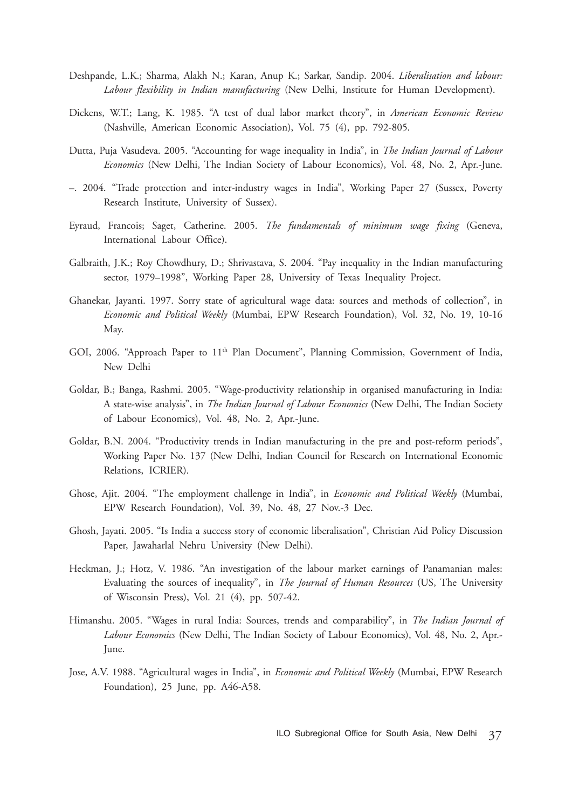- Deshpande, L.K.; Sharma, Alakh N.; Karan, Anup K.; Sarkar, Sandip. 2004. *Liberalisation and labour: Labour flexibility in Indian manufacturing* (New Delhi, Institute for Human Development).
- Dickens, W.T.; Lang, K. 1985. "A test of dual labor market theory", in *American Economic Review* (Nashville, American Economic Association), Vol. 75 (4), pp. 792-805.
- Dutta, Puja Vasudeva. 2005. "Accounting for wage inequality in India", in *The Indian Journal of Labour Economics* (New Delhi, The Indian Society of Labour Economics), Vol. 48, No. 2, Apr.-June.
- –. 2004. "Trade protection and inter-industry wages in India", Working Paper 27 (Sussex, Poverty Research Institute, University of Sussex).
- Eyraud, Francois; Saget, Catherine. 2005. *The fundamentals of minimum wage fixing* (Geneva, International Labour Office).
- Galbraith, J.K.; Roy Chowdhury, D.; Shrivastava, S. 2004. "Pay inequality in the Indian manufacturing sector, 1979–1998", Working Paper 28, University of Texas Inequality Project.
- Ghanekar, Jayanti. 1997. Sorry state of agricultural wage data: sources and methods of collection", in *Economic and Political Weekly* (Mumbai, EPW Research Foundation), Vol. 32, No. 19, 10-16 May.
- GOI, 2006. "Approach Paper to 11<sup>th</sup> Plan Document", Planning Commission, Government of India, New Delhi
- Goldar, B.; Banga, Rashmi. 2005. "Wage-productivity relationship in organised manufacturing in India: A state-wise analysis", in *The Indian Journal of Labour Economics* (New Delhi, The Indian Society of Labour Economics), Vol. 48, No. 2, Apr.-June.
- Goldar, B.N. 2004. "Productivity trends in Indian manufacturing in the pre and post-reform periods", Working Paper No. 137 (New Delhi, Indian Council for Research on International Economic Relations, ICRIER).
- Ghose, Ajit. 2004. "The employment challenge in India", in *Economic and Political Weekly* (Mumbai, EPW Research Foundation), Vol. 39, No. 48, 27 Nov.-3 Dec.
- Ghosh, Jayati. 2005. "Is India a success story of economic liberalisation", Christian Aid Policy Discussion Paper, Jawaharlal Nehru University (New Delhi).
- Heckman, J.; Hotz, V. 1986. "An investigation of the labour market earnings of Panamanian males: Evaluating the sources of inequality", in *The Journal of Human Resources* (US, The University of Wisconsin Press), Vol. 21 (4), pp. 507-42.
- Himanshu. 2005. "Wages in rural India: Sources, trends and comparability", in *The Indian Journal of Labour Economics* (New Delhi, The Indian Society of Labour Economics), Vol. 48, No. 2, Apr.- June.
- Jose, A.V. 1988. "Agricultural wages in India", in *Economic and Political Weekly* (Mumbai, EPW Research Foundation), 25 June, pp. A46-A58.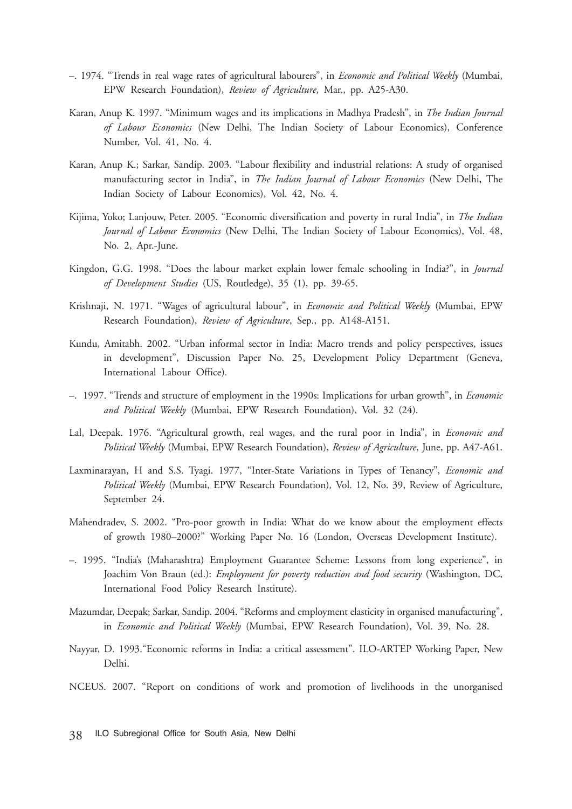- –. 1974. "Trends in real wage rates of agricultural labourers", in *Economic and Political Weekly* (Mumbai, EPW Research Foundation), *Review of Agriculture*, Mar., pp. A25-A30.
- Karan, Anup K. 1997. "Minimum wages and its implications in Madhya Pradesh", in *The Indian Journal of Labour Economics* (New Delhi, The Indian Society of Labour Economics), Conference Number, Vol. 41, No. 4.
- Karan, Anup K.; Sarkar, Sandip. 2003. "Labour flexibility and industrial relations: A study of organised manufacturing sector in India", in *The Indian Journal of Labour Economics* (New Delhi, The Indian Society of Labour Economics), Vol. 42, No. 4.
- Kijima, Yoko; Lanjouw, Peter. 2005. "Economic diversification and poverty in rural India", in *The Indian Journal of Labour Economics* (New Delhi, The Indian Society of Labour Economics), Vol. 48, No. 2, Apr.-June.
- Kingdon, G.G. 1998. "Does the labour market explain lower female schooling in India?", in *Journal of Development Studies* (US, Routledge), 35 (1), pp. 39-65.
- Krishnaji, N. 1971. "Wages of agricultural labour", in *Economic and Political Weekly* (Mumbai, EPW Research Foundation), *Review of Agriculture*, Sep., pp. A148-A151.
- Kundu, Amitabh. 2002. "Urban informal sector in India: Macro trends and policy perspectives, issues in development", Discussion Paper No. 25, Development Policy Department (Geneva, International Labour Office).
- –. 1997. "Trends and structure of employment in the 1990s: Implications for urban growth", in *Economic and Political Weekly* (Mumbai, EPW Research Foundation), Vol. 32 (24).
- Lal, Deepak. 1976. "Agricultural growth, real wages, and the rural poor in India", in *Economic and Political Weekly* (Mumbai, EPW Research Foundation), *Review of Agriculture*, June, pp. A47-A61.
- Laxminarayan, H and S.S. Tyagi. 1977, "Inter-State Variations in Types of Tenancy", *Economic and Political Weekly* (Mumbai, EPW Research Foundation)*,* Vol. 12, No. 39, Review of Agriculture, September 24.
- Mahendradev, S. 2002. "Pro-poor growth in India: What do we know about the employment effects of growth 1980–2000?" Working Paper No. 16 (London, Overseas Development Institute).
- –. 1995. "India's (Maharashtra) Employment Guarantee Scheme: Lessons from long experience", in Joachim Von Braun (ed.): *Employment for poverty reduction and food security* (Washington, DC, International Food Policy Research Institute).
- Mazumdar, Deepak; Sarkar, Sandip. 2004. "Reforms and employment elasticity in organised manufacturing", in *Economic and Political Weekly* (Mumbai, EPW Research Foundation), Vol. 39, No. 28.
- Nayyar, D. 1993."Economic reforms in India: a critical assessment". ILO-ARTEP Working Paper, New Delhi.
- NCEUS. 2007. "Report on conditions of work and promotion of livelihoods in the unorganised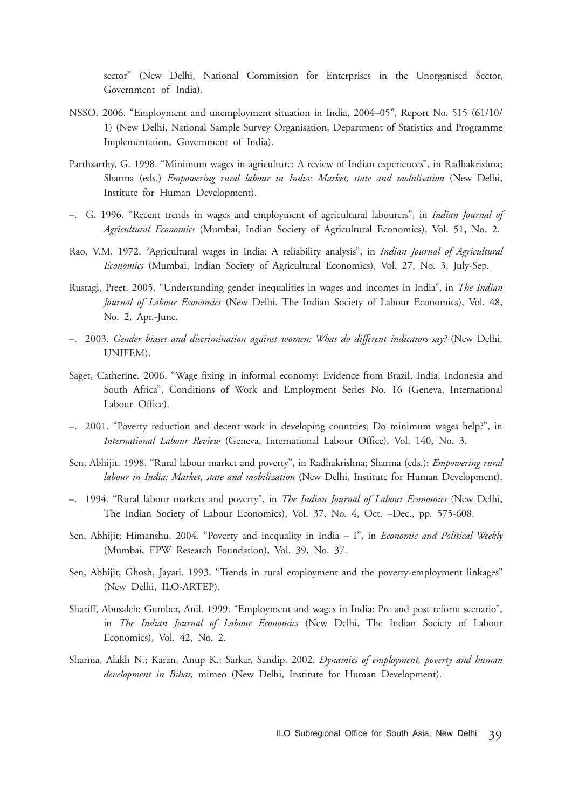sector" (New Delhi, National Commission for Enterprises in the Unorganised Sector, Government of India).

- NSSO. 2006. "Employment and unemployment situation in India, 2004–05", Report No. 515 (61/10/ 1) (New Delhi, National Sample Survey Organisation, Department of Statistics and Programme Implementation, Government of India).
- Parthsarthy, G. 1998. "Minimum wages in agriculture: A review of Indian experiences", in Radhakrishna; Sharma (eds.) *Empowering rural labour in India: Market, state and mobilisation* (New Delhi, Institute for Human Development).
- –. G. 1996. "Recent trends in wages and employment of agricultural labourers", in *Indian Journal of Agricultural Economics* (Mumbai, Indian Society of Agricultural Economics), Vol. 51, No. 2.
- Rao, V.M. 1972. "Agricultural wages in India: A reliability analysis", in *Indian Journal of Agricultural Economics* (Mumbai, Indian Society of Agricultural Economics), Vol. 27, No. 3, July-Sep.
- Rustagi, Preet. 2005. "Understanding gender inequalities in wages and incomes in India", in *The Indian Journal of Labour Economics* (New Delhi, The Indian Society of Labour Economics), Vol. 48, No. 2, Apr.-June.
- –. 2003. *Gender biases and discrimination against women: What do different indicators say?* (New Delhi*,* UNIFEM).
- Saget, Catherine. 2006. "Wage fixing in informal economy: Evidence from Brazil, India, Indonesia and South Africa", Conditions of Work and Employment Series No. 16 (Geneva, International Labour Office).
- –. 2001. "Poverty reduction and decent work in developing countries: Do minimum wages help?", in *International Labour Review* (Geneva, International Labour Office), Vol. 140, No. 3.
- Sen, Abhijit. 1998. "Rural labour market and poverty", in Radhakrishna; Sharma (eds.): *Empowering rural labour in India: Market, state and mobilization* (New Delhi, Institute for Human Development).
- –. 1994. "Rural labour markets and poverty", in *The Indian Journal of Labour Economics* (New Delhi, The Indian Society of Labour Economics), Vol. 37, No. 4, Oct. –Dec., pp. 575-608.
- Sen, Abhijit; Himanshu. 2004. "Poverty and inequality in India I", in *Economic and Political Weekly* (Mumbai, EPW Research Foundation), Vol. 39, No. 37.
- Sen, Abhijit; Ghosh, Jayati. 1993. "Trends in rural employment and the poverty-employment linkages" (New Delhi, ILO-ARTEP).
- Shariff, Abusaleh; Gumber, Anil. 1999. "Employment and wages in India: Pre and post reform scenario", in *The Indian Journal of Labour Economics* (New Delhi, The Indian Society of Labour Economics), Vol. 42, No. 2.
- Sharma, Alakh N.; Karan, Anup K.; Sarkar, Sandip. 2002. *Dynamics of employment, poverty and human development in Bihar,* mimeo (New Delhi, Institute for Human Development).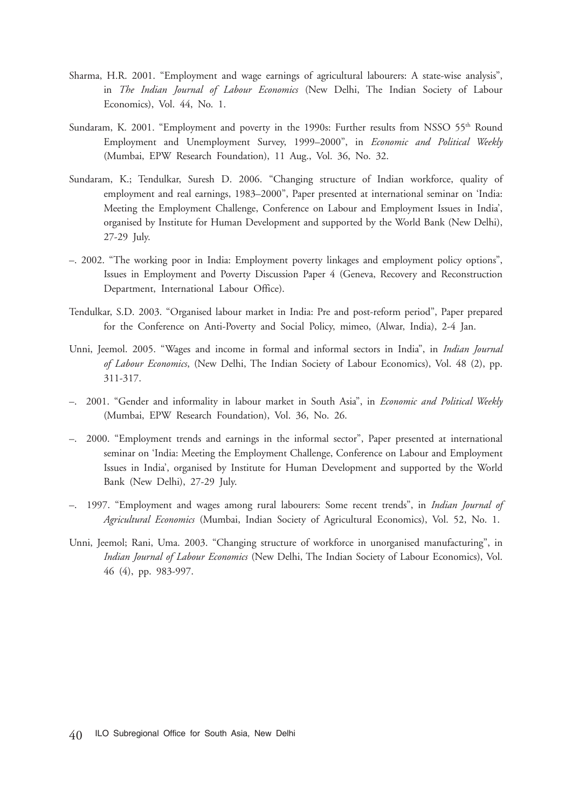- Sharma, H.R. 2001. "Employment and wage earnings of agricultural labourers: A state-wise analysis", in *The Indian Journal of Labour Economics* (New Delhi, The Indian Society of Labour Economics), Vol. 44, No. 1.
- Sundaram, K. 2001. "Employment and poverty in the 1990s: Further results from NSSO  $55<sup>th</sup>$  Round Employment and Unemployment Survey, 1999–2000", in *Economic and Political Weekly* (Mumbai, EPW Research Foundation), 11 Aug., Vol. 36, No. 32.
- Sundaram, K.; Tendulkar, Suresh D. 2006. "Changing structure of Indian workforce, quality of employment and real earnings, 1983–2000", Paper presented at international seminar on 'India: Meeting the Employment Challenge, Conference on Labour and Employment Issues in India', organised by Institute for Human Development and supported by the World Bank (New Delhi), 27-29 July.
- –. 2002. "The working poor in India: Employment poverty linkages and employment policy options", Issues in Employment and Poverty Discussion Paper 4 (Geneva, Recovery and Reconstruction Department, International Labour Office).
- Tendulkar, S.D. 2003. "Organised labour market in India: Pre and post-reform period", Paper prepared for the Conference on Anti-Poverty and Social Policy, mimeo, (Alwar, India), 2-4 Jan.
- Unni, Jeemol. 2005. "Wages and income in formal and informal sectors in India", in *Indian Journal of Labour Economics*, (New Delhi, The Indian Society of Labour Economics), Vol. 48 (2), pp. 311-317.
- –. 2001. "Gender and informality in labour market in South Asia", in *Economic and Political Weekly* (Mumbai, EPW Research Foundation), Vol. 36, No. 26.
- –. 2000. "Employment trends and earnings in the informal sector", Paper presented at international seminar on 'India: Meeting the Employment Challenge, Conference on Labour and Employment Issues in India', organised by Institute for Human Development and supported by the World Bank (New Delhi), 27-29 July.
- –. 1997. "Employment and wages among rural labourers: Some recent trends", in *Indian Journal of Agricultural Economics* (Mumbai, Indian Society of Agricultural Economics), Vol. 52, No. 1.
- Unni, Jeemol; Rani, Uma. 2003. "Changing structure of workforce in unorganised manufacturing", in *Indian Journal of Labour Economics* (New Delhi, The Indian Society of Labour Economics), Vol. 46 (4), pp. 983-997.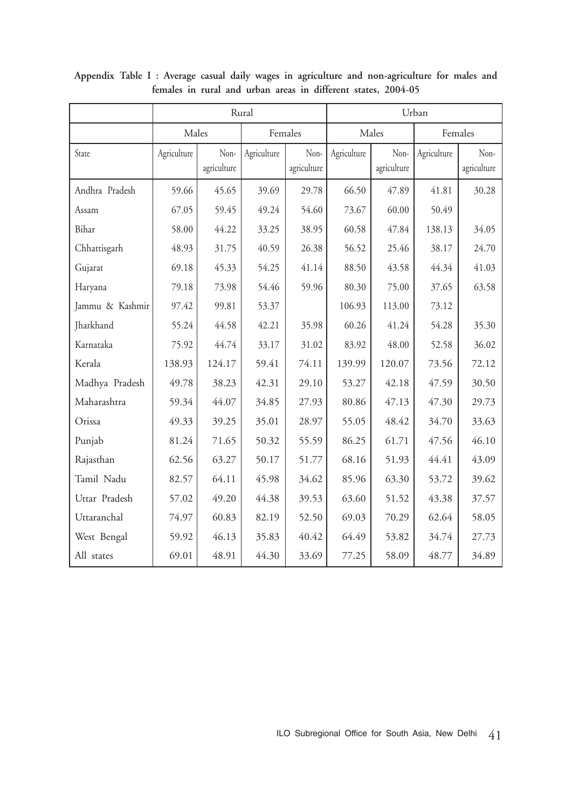|                 |             |                     | Rural       |                     | Urban       |                     |             |                     |  |
|-----------------|-------------|---------------------|-------------|---------------------|-------------|---------------------|-------------|---------------------|--|
|                 | Males       |                     | Females     |                     |             | Males               | Females     |                     |  |
| State           | Agriculture | Non-<br>agriculture | Agriculture | Non-<br>agriculture | Agriculture | Non-<br>agriculture | Agriculture | Non-<br>agriculture |  |
| Andhra Pradesh  | 59.66       | 45.65               | 39.69       | 29.78               | 66.50       | 47.89               | 41.81       | 30.28               |  |
| Assam           | 67.05       | 59.45               | 49.24       | 54.60               | 73.67       | 60.00               | 50.49       |                     |  |
| Bihar           | 58.00       | 44.22               | 33.25       | 38.95               | 60.58       | 47.84               | 138.13      | 34.05               |  |
| Chhattisgarh    | 48.93       | 31.75               | 40.59       | 26.38               | 56.52       | 25.46               | 38.17       | 24.70               |  |
| Gujarat         | 69.18       | 45.33               | 54.25       | 41.14               | 88.50       | 43.58               | 44.34       | 41.03               |  |
| Haryana         | 79.18       | 73.98               | 54.46       | 59.96               | 80.30       | 75.00               | 37.65       | 63.58               |  |
| Jammu & Kashmir | 97.42       | 99.81               | 53.37       |                     | 106.93      | 113.00              | 73.12       |                     |  |
| Jharkhand       | 55.24       | 44.58               | 42.21       | 35.98               | 60.26       | 41.24               | 54.28       | 35.30               |  |
| Karnataka       | 75.92       | 44.74               | 33.17       | 31.02               | 83.92       | 48.00               | 52.58       | 36.02               |  |
| Kerala          | 138.93      | 124.17              | 59.41       | 74.11               | 139.99      | 120.07              | 73.56       | 72.12               |  |
| Madhya Pradesh  | 49.78       | 38.23               | 42.31       | 29.10               | 53.27       | 42.18               | 47.59       | 30.50               |  |
| Maharashtra     | 59.34       | 44.07               | 34.85       | 27.93               | 80.86       | 47.13               | 47.30       | 29.73               |  |
| Orissa          | 49.33       | 39.25               | 35.01       | 28.97               | 55.05       | 48.42               | 34.70       | 33.63               |  |
| Punjab          | 81.24       | 71.65               | 50.32       | 55.59               | 86.25       | 61.71               | 47.56       | 46.10               |  |
| Rajasthan       | 62.56       | 63.27               | 50.17       | 51.77               | 68.16       | 51.93               | 44.41       | 43.09               |  |
| Tamil Nadu      | 82.57       | 64.11               | 45.98       | 34.62               | 85.96       | 63.30               | 53.72       | 39.62               |  |
| Uttar Pradesh   | 57.02       | 49.20               | 44.38       | 39.53               | 63.60       | 51.52               | 43.38       | 37.57               |  |
| Uttaranchal     | 74.97       | 60.83               | 82.19       | 52.50               | 69.03       | 70.29               | 62.64       | 58.05               |  |
| West Bengal     | 59.92       | 46.13               | 35.83       | 40.42               | 64.49       | 53.82               | 34.74       | 27.73               |  |
| All states      | 69.01       | 48.91               | 44.30       | 33.69               | 77.25       | 58.09               | 48.77       | 34.89               |  |

**Appendix Table I : Average casual daily wages in agriculture and non-agriculture for males and females in rural and urban areas in different states, 2004-05**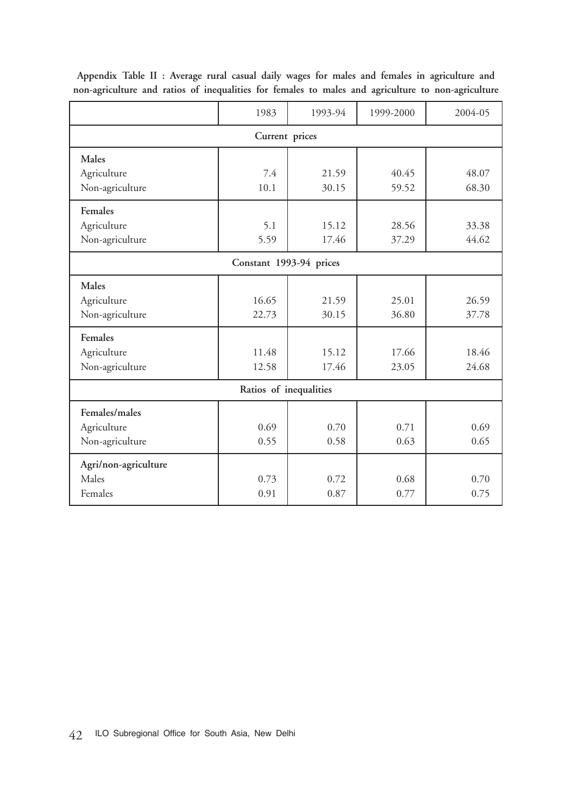|                         | 1983  | 1993-94 | 1999-2000 | 2004-05 |  |  |  |  |  |
|-------------------------|-------|---------|-----------|---------|--|--|--|--|--|
| Current prices          |       |         |           |         |  |  |  |  |  |
| Males                   |       |         |           |         |  |  |  |  |  |
| Agriculture             | 7.4   | 21.59   | 40.45     | 48.07   |  |  |  |  |  |
| Non-agriculture         | 10.1  | 30.15   | 59.52     | 68.30   |  |  |  |  |  |
| Females                 |       |         |           |         |  |  |  |  |  |
| Agriculture             | 5.1   | 15.12   | 28.56     | 33.38   |  |  |  |  |  |
| Non-agriculture         | 5.59  | 17.46   | 37.29     | 44.62   |  |  |  |  |  |
| Constant 1993-94 prices |       |         |           |         |  |  |  |  |  |
| Males                   |       |         |           |         |  |  |  |  |  |
| Agriculture             | 16.65 | 21.59   | 25.01     | 26.59   |  |  |  |  |  |
| Non-agriculture         | 22.73 | 30.15   | 36.80     | 37.78   |  |  |  |  |  |
| Females                 |       |         |           |         |  |  |  |  |  |
| Agriculture             | 11.48 | 15.12   | 17.66     | 18.46   |  |  |  |  |  |
| Non-agriculture         | 12.58 | 17.46   | 23.05     | 24.68   |  |  |  |  |  |
| Ratios of inequalities  |       |         |           |         |  |  |  |  |  |
| Females/males           |       |         |           |         |  |  |  |  |  |
| Agriculture             | 0.69  | 0.70    | 0.71      | 0.69    |  |  |  |  |  |
| Non-agriculture         | 0.55  | 0.58    | 0.63      | 0.65    |  |  |  |  |  |
| Agri/non-agriculture    |       |         |           |         |  |  |  |  |  |
| Males                   | 0.73  | 0.72    | 0.68      | 0.70    |  |  |  |  |  |
| Females                 | 0.91  | 0.87    | 0.77      | 0.75    |  |  |  |  |  |

**Appendix Table II : Average rural casual daily wages for males and females in agriculture and non-agriculture and ratios of inequalities for females to males and agriculture to non-agriculture**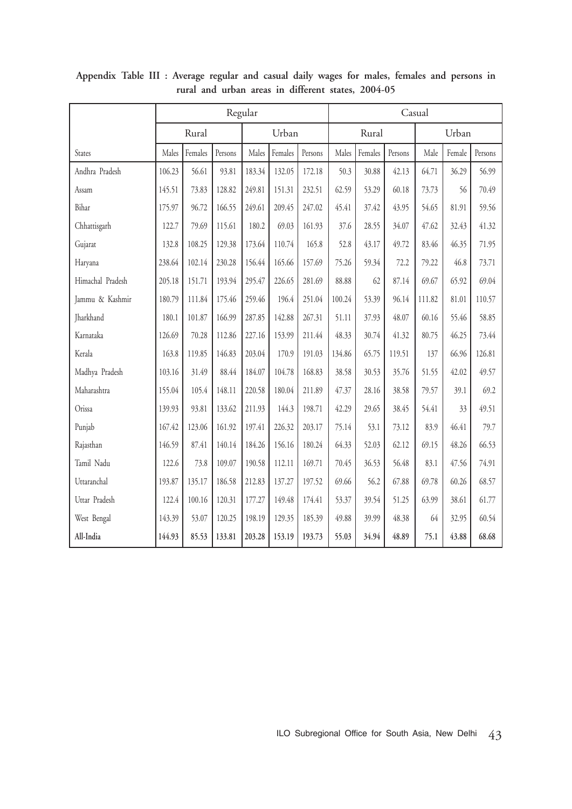|                  | Regular |         |         |        |         | Casual  |        |         |         |        |        |         |
|------------------|---------|---------|---------|--------|---------|---------|--------|---------|---------|--------|--------|---------|
|                  | Rural   |         |         | Urban  |         |         | Rural  |         |         | Urban  |        |         |
| States           | Males   | Females | Persons | Males  | Females | Persons | Males  | Females | Persons | Male   | Female | Persons |
| Andhra Pradesh   | 106.23  | 56.61   | 93.81   | 183.34 | 132.05  | 172.18  | 50.3   | 30.88   | 42.13   | 64.71  | 36.29  | 56.99   |
| Assam            | 145.51  | 73.83   | 128.82  | 249.81 | 151.31  | 232.51  | 62.59  | 53.29   | 60.18   | 73.73  | 56     | 70.49   |
| Bihar            | 175.97  | 96.72   | 166.55  | 249.61 | 209.45  | 247.02  | 45.41  | 37.42   | 43.95   | 54.65  | 81.91  | 59.56   |
| Chhattisgarh     | 122.7   | 79.69   | 115.61  | 180.2  | 69.03   | 161.93  | 37.6   | 28.55   | 34.07   | 47.62  | 32.43  | 41.32   |
| Gujarat          | 132.8   | 108.25  | 129.38  | 173.64 | 110.74  | 165.8   | 52.8   | 43.17   | 49.72   | 83.46  | 46.35  | 71.95   |
| Haryana          | 238.64  | 102.14  | 230.28  | 156.44 | 165.66  | 157.69  | 75.26  | 59.34   | 72.2    | 79.22  | 46.8   | 73.71   |
| Himachal Pradesh | 205.18  | 151.71  | 193.94  | 295.47 | 226.65  | 281.69  | 88.88  | 62      | 87.14   | 69.67  | 65.92  | 69.04   |
| Jammu & Kashmir  | 180.79  | 111.84  | 175.46  | 259.46 | 196.4   | 251.04  | 100.24 | 53.39   | 96.14   | 111.82 | 81.01  | 110.57  |
| Jharkhand        | 180.1   | 101.87  | 166.99  | 287.85 | 142.88  | 267.31  | 51.11  | 37.93   | 48.07   | 60.16  | 55.46  | 58.85   |
| Karnataka        | 126.69  | 70.28   | 112.86  | 227.16 | 153.99  | 211.44  | 48.33  | 30.74   | 41.32   | 80.75  | 46.25  | 73.44   |
| Kerala           | 163.8   | 119.85  | 146.83  | 203.04 | 170.9   | 191.03  | 134.86 | 65.75   | 119.51  | 137    | 66.96  | 126.81  |
| Madhya Pradesh   | 103.16  | 31.49   | 88.44   | 184.07 | 104.78  | 168.83  | 38.58  | 30.53   | 35.76   | 51.55  | 42.02  | 49.57   |
| Maharashtra      | 155.04  | 105.4   | 148.11  | 220.58 | 180.04  | 211.89  | 47.37  | 28.16   | 38.58   | 79.57  | 39.1   | 69.2    |
| Orissa           | 139.93  | 93.81   | 133.62  | 211.93 | 144.3   | 198.71  | 42.29  | 29.65   | 38.45   | 54.41  | 33     | 49.51   |
| Punjab           | 167.42  | 123.06  | 161.92  | 197.41 | 226.32  | 203.17  | 75.14  | 53.1    | 73.12   | 83.9   | 46.41  | 79.7    |
| Rajasthan        | 146.59  | 87.41   | 140.14  | 184.26 | 156.16  | 180.24  | 64.33  | 52.03   | 62.12   | 69.15  | 48.26  | 66.53   |
| Tamil Nadu       | 122.6   | 73.8    | 109.07  | 190.58 | 112.11  | 169.71  | 70.45  | 36.53   | 56.48   | 83.1   | 47.56  | 74.91   |
| Uttaranchal      | 193.87  | 135.17  | 186.58  | 212.83 | 137.27  | 197.52  | 69.66  | 56.2    | 67.88   | 69.78  | 60.26  | 68.57   |
| Uttar Pradesh    | 122.4   | 100.16  | 120.31  | 177.27 | 149.48  | 174.41  | 53.37  | 39.54   | 51.25   | 63.99  | 38.61  | 61.77   |
| West Bengal      | 143.39  | 53.07   | 120.25  | 198.19 | 129.35  | 185.39  | 49.88  | 39.99   | 48.38   | 64     | 32.95  | 60.54   |
| All-India        | 144.93  | 85.53   | 133.81  | 203.28 | 153.19  | 193.73  | 55.03  | 34.94   | 48.89   | 75.1   | 43.88  | 68.68   |

**Appendix Table III : Average regular and casual daily wages for males, females and persons in rural and urban areas in different states, 2004-05**